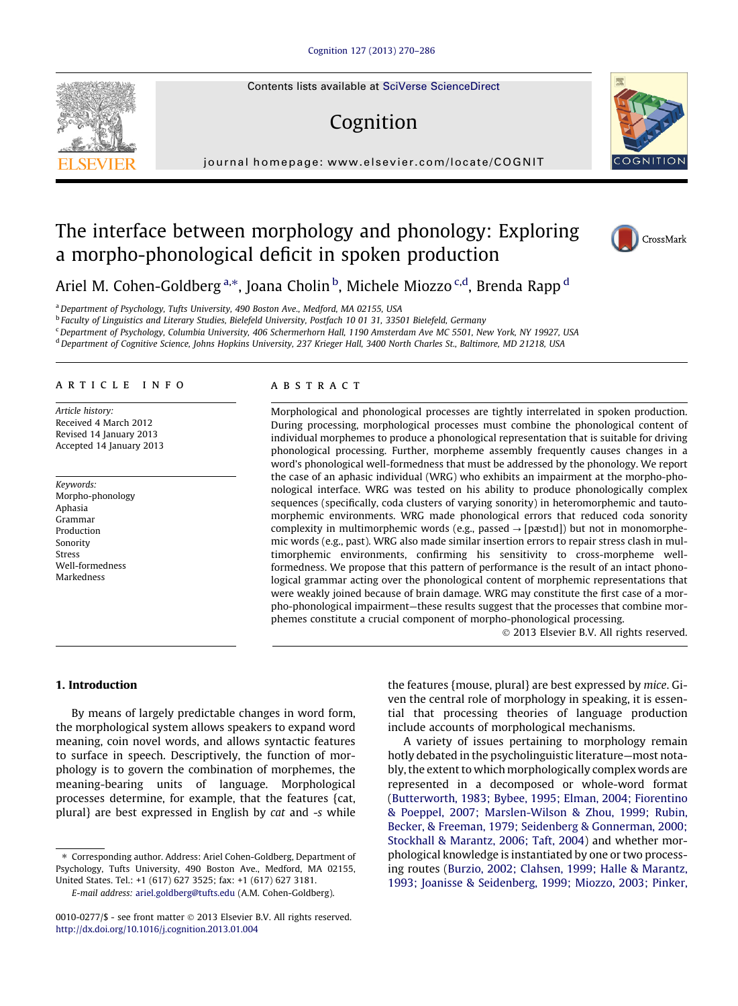Contents lists available at [SciVerse ScienceDirect](http://www.sciencedirect.com/science/journal/00100277)

# Cognition

journal homepage: [www.elsevier.com/locate/COGNIT](http://www.elsevier.com/locate/COGNIT)





Ariel M. Cohen-Goldberg <sup>a,\*</sup>, Joana Cholin <sup>b</sup>, Michele Miozzo <sup>c,d</sup>, Brenda Rapp <sup>d</sup>

<sup>a</sup> Department of Psychology, Tufts University, 490 Boston Ave., Medford, MA 02155, USA

<sup>b</sup> Faculty of Linguistics and Literary Studies, Bielefeld University, Postfach 10 01 31, 33501 Bielefeld, Germany

<sup>c</sup> Department of Psychology, Columbia University, 406 Schermerhorn Hall, 1190 Amsterdam Ave MC 5501, New York, NY 19927, USA

<sup>d</sup> Department of Cognitive Science, Johns Hopkins University, 237 Krieger Hall, 3400 North Charles St., Baltimore, MD 21218, USA

# article info

Article history: Received 4 March 2012 Revised 14 January 2013 Accepted 14 January 2013

Keywords: Morpho-phonology Aphasia Grammar Production Sonority Stress Well-formedness Markedness

# ABSTRACT

Morphological and phonological processes are tightly interrelated in spoken production. During processing, morphological processes must combine the phonological content of individual morphemes to produce a phonological representation that is suitable for driving phonological processing. Further, morpheme assembly frequently causes changes in a word's phonological well-formedness that must be addressed by the phonology. We report the case of an aphasic individual (WRG) who exhibits an impairment at the morpho-phonological interface. WRG was tested on his ability to produce phonologically complex sequences (specifically, coda clusters of varying sonority) in heteromorphemic and tautomorphemic environments. WRG made phonological errors that reduced coda sonority complexity in multimorphemic words (e.g., passed  $\rightarrow$  [pæstid]) but not in monomorphemic words (e.g., past). WRG also made similar insertion errors to repair stress clash in multimorphemic environments, confirming his sensitivity to cross-morpheme wellformedness. We propose that this pattern of performance is the result of an intact phonological grammar acting over the phonological content of morphemic representations that were weakly joined because of brain damage. WRG may constitute the first case of a morpho-phonological impairment—these results suggest that the processes that combine morphemes constitute a crucial component of morpho-phonological processing.

- 2013 Elsevier B.V. All rights reserved.

# 1. Introduction

By means of largely predictable changes in word form, the morphological system allows speakers to expand word meaning, coin novel words, and allows syntactic features to surface in speech. Descriptively, the function of morphology is to govern the combination of morphemes, the meaning-bearing units of language. Morphological processes determine, for example, that the features {cat, plural} are best expressed in English by cat and -s while

E-mail address: [ariel.goldberg@tufts.edu](mailto:ariel.goldberg@tufts.edu) (A.M. Cohen-Goldberg).

the features {mouse, plural} are best expressed by mice. Given the central role of morphology in speaking, it is essential that processing theories of language production include accounts of morphological mechanisms.

A variety of issues pertaining to morphology remain hotly debated in the psycholinguistic literature—most notably, the extent to which morphologically complex words are represented in a decomposed or whole-word format [\(Butterworth, 1983; Bybee, 1995; Elman, 2004; Fiorentino](#page-15-0) [& Poeppel, 2007; Marslen-Wilson & Zhou, 1999; Rubin,](#page-15-0) [Becker, & Freeman, 1979; Seidenberg & Gonnerman, 2000;](#page-15-0) [Stockhall & Marantz, 2006; Taft, 2004](#page-15-0)) and whether morphological knowledge is instantiated by one or two processing routes ([Burzio, 2002; Clahsen, 1999; Halle & Marantz,](#page-15-0) [1993; Joanisse & Seidenberg, 1999; Miozzo, 2003; Pinker,](#page-15-0)



<sup>⇑</sup> Corresponding author. Address: Ariel Cohen-Goldberg, Department of Psychology, Tufts University, 490 Boston Ave., Medford, MA 02155, United States. Tel.: +1 (617) 627 3525; fax: +1 (617) 627 3181.

<sup>0010-0277/\$ -</sup> see front matter © 2013 Elsevier B.V. All rights reserved. <http://dx.doi.org/10.1016/j.cognition.2013.01.004>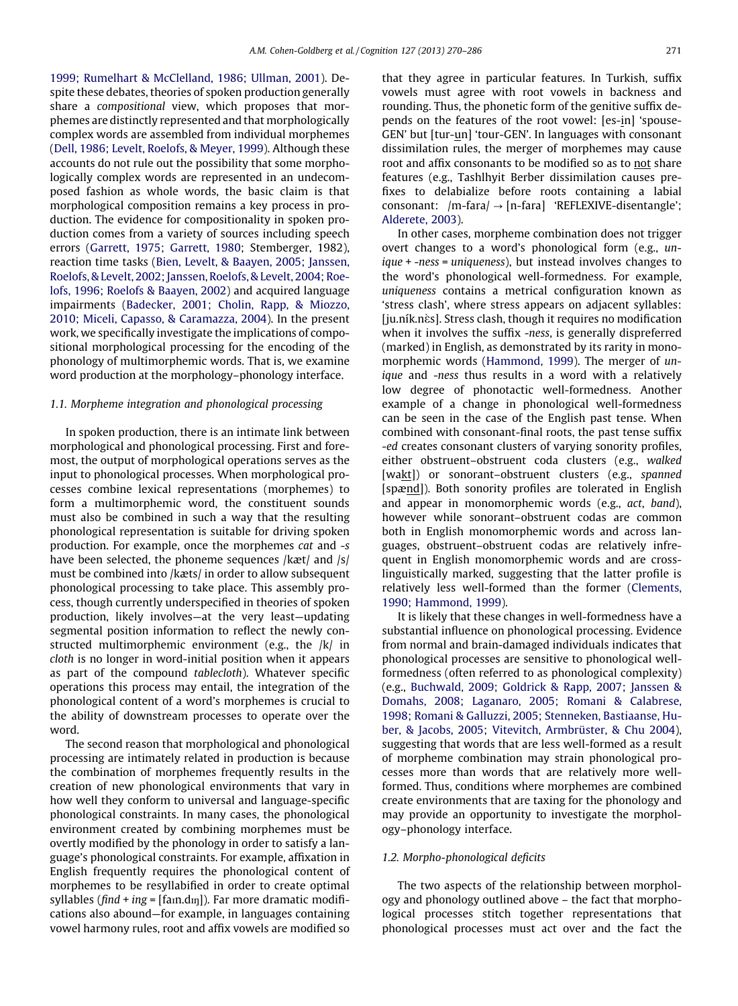[1999; Rumelhart & McClelland, 1986; Ullman, 2001\)](#page-15-0). Despite these debates, theories of spoken production generally share a compositional view, which proposes that morphemes are distinctly represented and that morphologically complex words are assembled from individual morphemes ([Dell, 1986; Levelt, Roelofs, & Meyer, 1999](#page-15-0)). Although these accounts do not rule out the possibility that some morphologically complex words are represented in an undecomposed fashion as whole words, the basic claim is that morphological composition remains a key process in production. The evidence for compositionality in spoken production comes from a variety of sources including speech errors ([Garrett, 1975; Garrett, 1980;](#page-15-0) Stemberger, 1982), reaction time tasks [\(Bien, Levelt, & Baayen, 2005; Janssen,](#page-15-0) [Roelofs, & Levelt, 2002; Janssen, Roelofs, & Levelt, 2004; Roe](#page-15-0)[lofs, 1996; Roelofs & Baayen, 2002](#page-15-0)) and acquired language impairments [\(Badecker, 2001; Cholin, Rapp, & Miozzo,](#page-14-0) [2010; Miceli, Capasso, & Caramazza, 2004\)](#page-14-0). In the present work, we specifically investigate the implications of compositional morphological processing for the encoding of the phonology of multimorphemic words. That is, we examine word production at the morphology–phonology interface.

# 1.1. Morpheme integration and phonological processing

In spoken production, there is an intimate link between morphological and phonological processing. First and foremost, the output of morphological operations serves as the input to phonological processes. When morphological processes combine lexical representations (morphemes) to form a multimorphemic word, the constituent sounds must also be combined in such a way that the resulting phonological representation is suitable for driving spoken production. For example, once the morphemes cat and -s have been selected, the phoneme sequences /kæt/ and /s/ must be combined into /kæts/ in order to allow subsequent phonological processing to take place. This assembly process, though currently underspecified in theories of spoken production, likely involves—at the very least—updating segmental position information to reflect the newly constructed multimorphemic environment (e.g., the /k/ in cloth is no longer in word-initial position when it appears as part of the compound tablecloth). Whatever specific operations this process may entail, the integration of the phonological content of a word's morphemes is crucial to the ability of downstream processes to operate over the word.

The second reason that morphological and phonological processing are intimately related in production is because the combination of morphemes frequently results in the creation of new phonological environments that vary in how well they conform to universal and language-specific phonological constraints. In many cases, the phonological environment created by combining morphemes must be overtly modified by the phonology in order to satisfy a language's phonological constraints. For example, affixation in English frequently requires the phonological content of morphemes to be resyllabified in order to create optimal syllables (find + ing =  $[fan.dm]$ ). Far more dramatic modifications also abound—for example, in languages containing vowel harmony rules, root and affix vowels are modified so

that they agree in particular features. In Turkish, suffix vowels must agree with root vowels in backness and rounding. Thus, the phonetic form of the genitive suffix depends on the features of the root vowel: [es-in] 'spouse-GEN' but [tur-un] 'tour-GEN'. In languages with consonant dissimilation rules, the merger of morphemes may cause root and affix consonants to be modified so as to not share features (e.g., Tashlhyit Berber dissimilation causes prefixes to delabialize before roots containing a labial consonant:  $/m$ -fara $/ \rightarrow$  [n-fara] 'REFLEXIVE-disentangle'; [Alderete, 2003](#page-14-0)).

In other cases, morpheme combination does not trigger overt changes to a word's phonological form (e.g., unique + -ness = uniqueness), but instead involves changes to the word's phonological well-formedness. For example, uniqueness contains a metrical configuration known as 'stress clash', where stress appears on adjacent syllables: [ju.ník.nès]. Stress clash, though it requires no modification when it involves the suffix -ness, is generally dispreferred (marked) in English, as demonstrated by its rarity in monomorphemic words ([Hammond, 1999](#page-15-0)). The merger of unique and -ness thus results in a word with a relatively low degree of phonotactic well-formedness. Another example of a change in phonological well-formedness can be seen in the case of the English past tense. When combined with consonant-final roots, the past tense suffix -ed creates consonant clusters of varying sonority profiles, either obstruent–obstruent coda clusters (e.g., walked [wakt]) or sonorant–obstruent clusters (e.g., spanned [spænd]). Both sonority profiles are tolerated in English and appear in monomorphemic words (e.g., act, band), however while sonorant–obstruent codas are common both in English monomorphemic words and across languages, obstruent–obstruent codas are relatively infrequent in English monomorphemic words and are crosslinguistically marked, suggesting that the latter profile is relatively less well-formed than the former [\(Clements,](#page-15-0) [1990; Hammond, 1999\)](#page-15-0).

It is likely that these changes in well-formedness have a substantial influence on phonological processing. Evidence from normal and brain-damaged individuals indicates that phonological processes are sensitive to phonological wellformedness (often referred to as phonological complexity) (e.g., [Buchwald, 2009; Goldrick & Rapp, 2007; Janssen &](#page-15-0) [Domahs, 2008; Laganaro, 2005; Romani & Calabrese,](#page-15-0) [1998; Romani & Galluzzi, 2005; Stenneken, Bastiaanse, Hu](#page-15-0)[ber, & Jacobs, 2005; Vitevitch, Armbrüster, & Chu 2004](#page-15-0)), suggesting that words that are less well-formed as a result of morpheme combination may strain phonological processes more than words that are relatively more wellformed. Thus, conditions where morphemes are combined create environments that are taxing for the phonology and may provide an opportunity to investigate the morphology–phonology interface.

# 1.2. Morpho-phonological deficits

The two aspects of the relationship between morphology and phonology outlined above – the fact that morphological processes stitch together representations that phonological processes must act over and the fact the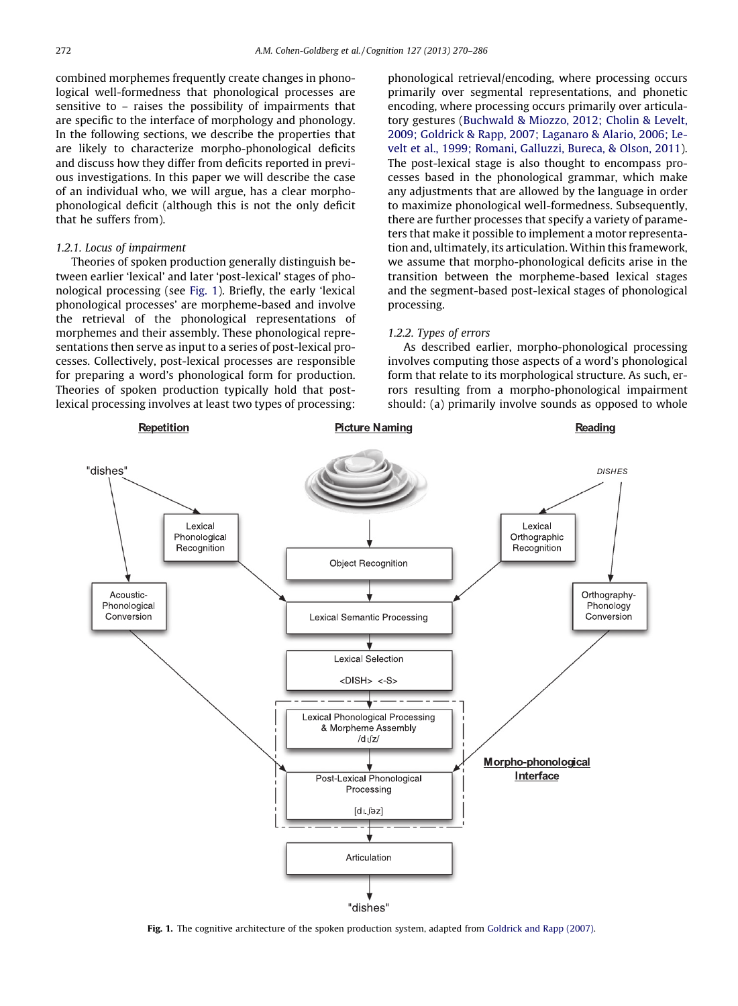<span id="page-2-0"></span>combined morphemes frequently create changes in phonological well-formedness that phonological processes are sensitive to – raises the possibility of impairments that are specific to the interface of morphology and phonology. In the following sections, we describe the properties that are likely to characterize morpho-phonological deficits and discuss how they differ from deficits reported in previous investigations. In this paper we will describe the case of an individual who, we will argue, has a clear morphophonological deficit (although this is not the only deficit that he suffers from).

# 1.2.1. Locus of impairment

Theories of spoken production generally distinguish between earlier 'lexical' and later 'post-lexical' stages of phonological processing (see Fig. 1). Briefly, the early 'lexical phonological processes' are morpheme-based and involve the retrieval of the phonological representations of morphemes and their assembly. These phonological representations then serve as input to a series of post-lexical processes. Collectively, post-lexical processes are responsible for preparing a word's phonological form for production. Theories of spoken production typically hold that postlexical processing involves at least two types of processing:

phonological retrieval/encoding, where processing occurs primarily over segmental representations, and phonetic encoding, where processing occurs primarily over articulatory gestures ([Buchwald & Miozzo, 2012; Cholin & Levelt,](#page-15-0) [2009; Goldrick & Rapp, 2007; Laganaro & Alario, 2006; Le](#page-15-0)[velt et al., 1999; Romani, Galluzzi, Bureca, & Olson, 2011](#page-15-0)). The post-lexical stage is also thought to encompass processes based in the phonological grammar, which make any adjustments that are allowed by the language in order to maximize phonological well-formedness. Subsequently, there are further processes that specify a variety of parameters that make it possible to implement a motor representation and, ultimately, its articulation. Within this framework, we assume that morpho-phonological deficits arise in the transition between the morpheme-based lexical stages and the segment-based post-lexical stages of phonological processing.

# 1.2.2. Types of errors

As described earlier, morpho-phonological processing involves computing those aspects of a word's phonological form that relate to its morphological structure. As such, errors resulting from a morpho-phonological impairment should: (a) primarily involve sounds as opposed to whole



Fig. 1. The cognitive architecture of the spoken production system, adapted from [Goldrick and Rapp \(2007\)](#page-15-0).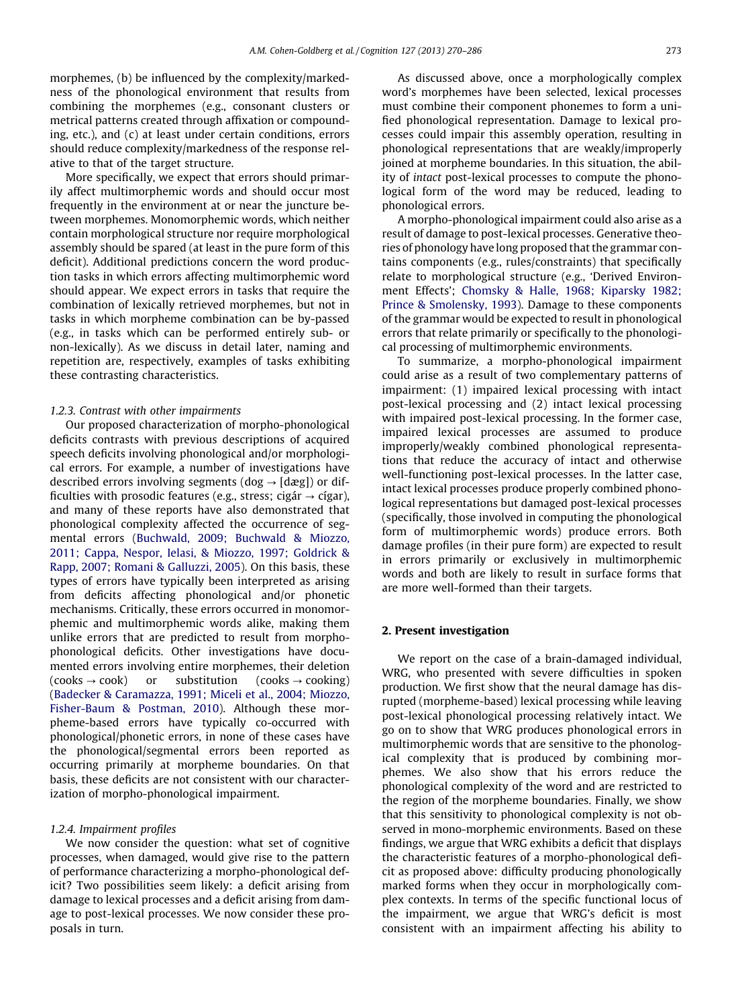morphemes, (b) be influenced by the complexity/markedness of the phonological environment that results from combining the morphemes (e.g., consonant clusters or metrical patterns created through affixation or compounding, etc.), and (c) at least under certain conditions, errors should reduce complexity/markedness of the response relative to that of the target structure.

More specifically, we expect that errors should primarily affect multimorphemic words and should occur most frequently in the environment at or near the juncture between morphemes. Monomorphemic words, which neither contain morphological structure nor require morphological assembly should be spared (at least in the pure form of this deficit). Additional predictions concern the word production tasks in which errors affecting multimorphemic word should appear. We expect errors in tasks that require the combination of lexically retrieved morphemes, but not in tasks in which morpheme combination can be by-passed (e.g., in tasks which can be performed entirely sub- or non-lexically). As we discuss in detail later, naming and repetition are, respectively, examples of tasks exhibiting these contrasting characteristics.

#### 1.2.3. Contrast with other impairments

Our proposed characterization of morpho-phonological deficits contrasts with previous descriptions of acquired speech deficits involving phonological and/or morphological errors. For example, a number of investigations have described errors involving segments (dog  $\rightarrow$  [dæg]) or difficulties with prosodic features (e.g., stress; cigár  $\rightarrow$  cígar), and many of these reports have also demonstrated that phonological complexity affected the occurrence of segmental errors ([Buchwald, 2009; Buchwald & Miozzo,](#page-15-0) [2011; Cappa, Nespor, Ielasi, & Miozzo, 1997; Goldrick &](#page-15-0) [Rapp, 2007; Romani & Galluzzi, 2005\)](#page-15-0). On this basis, these types of errors have typically been interpreted as arising from deficits affecting phonological and/or phonetic mechanisms. Critically, these errors occurred in monomorphemic and multimorphemic words alike, making them unlike errors that are predicted to result from morphophonological deficits. Other investigations have documented errors involving entire morphemes, their deletion  $(cooks \rightarrow cook)$  or substitution  $(cooks \rightarrow cooking)$ ([Badecker & Caramazza, 1991; Miceli et al., 2004; Miozzo,](#page-14-0) [Fisher-Baum & Postman, 2010\)](#page-14-0). Although these morpheme-based errors have typically co-occurred with phonological/phonetic errors, in none of these cases have the phonological/segmental errors been reported as occurring primarily at morpheme boundaries. On that basis, these deficits are not consistent with our characterization of morpho-phonological impairment.

## 1.2.4. Impairment profiles

We now consider the question: what set of cognitive processes, when damaged, would give rise to the pattern of performance characterizing a morpho-phonological deficit? Two possibilities seem likely: a deficit arising from damage to lexical processes and a deficit arising from damage to post-lexical processes. We now consider these proposals in turn.

As discussed above, once a morphologically complex word's morphemes have been selected, lexical processes must combine their component phonemes to form a unified phonological representation. Damage to lexical processes could impair this assembly operation, resulting in phonological representations that are weakly/improperly joined at morpheme boundaries. In this situation, the ability of intact post-lexical processes to compute the phonological form of the word may be reduced, leading to phonological errors.

A morpho-phonological impairment could also arise as a result of damage to post-lexical processes. Generative theories of phonology have long proposed that the grammar contains components (e.g., rules/constraints) that specifically relate to morphological structure (e.g., 'Derived Environment Effects'; [Chomsky & Halle, 1968; Kiparsky 1982;](#page-15-0) [Prince & Smolensky, 1993\)](#page-15-0). Damage to these components of the grammar would be expected to result in phonological errors that relate primarily or specifically to the phonological processing of multimorphemic environments.

To summarize, a morpho-phonological impairment could arise as a result of two complementary patterns of impairment: (1) impaired lexical processing with intact post-lexical processing and (2) intact lexical processing with impaired post-lexical processing. In the former case, impaired lexical processes are assumed to produce improperly/weakly combined phonological representations that reduce the accuracy of intact and otherwise well-functioning post-lexical processes. In the latter case, intact lexical processes produce properly combined phonological representations but damaged post-lexical processes (specifically, those involved in computing the phonological form of multimorphemic words) produce errors. Both damage profiles (in their pure form) are expected to result in errors primarily or exclusively in multimorphemic words and both are likely to result in surface forms that are more well-formed than their targets.

## 2. Present investigation

We report on the case of a brain-damaged individual, WRG, who presented with severe difficulties in spoken production. We first show that the neural damage has disrupted (morpheme-based) lexical processing while leaving post-lexical phonological processing relatively intact. We go on to show that WRG produces phonological errors in multimorphemic words that are sensitive to the phonological complexity that is produced by combining morphemes. We also show that his errors reduce the phonological complexity of the word and are restricted to the region of the morpheme boundaries. Finally, we show that this sensitivity to phonological complexity is not observed in mono-morphemic environments. Based on these findings, we argue that WRG exhibits a deficit that displays the characteristic features of a morpho-phonological deficit as proposed above: difficulty producing phonologically marked forms when they occur in morphologically complex contexts. In terms of the specific functional locus of the impairment, we argue that WRG's deficit is most consistent with an impairment affecting his ability to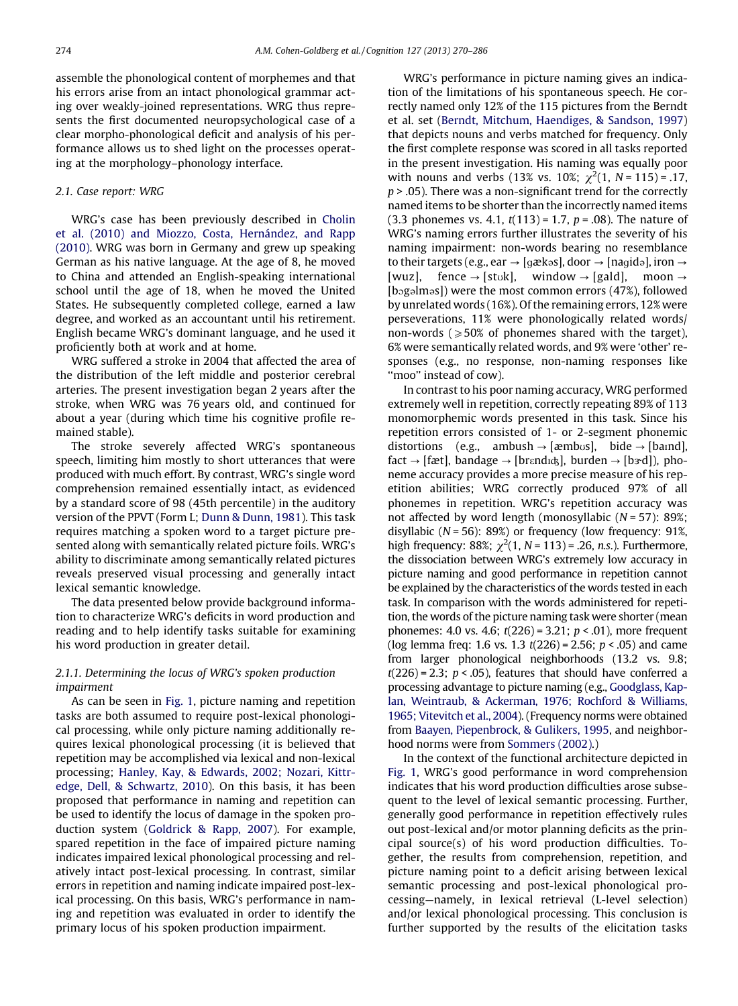assemble the phonological content of morphemes and that his errors arise from an intact phonological grammar acting over weakly-joined representations. WRG thus represents the first documented neuropsychological case of a clear morpho-phonological deficit and analysis of his performance allows us to shed light on the processes operating at the morphology–phonology interface.

# 2.1. Case report: WRG

WRG's case has been previously described in [Cholin](#page-15-0) [et al. \(2010\) and Miozzo, Costa, Hernández, and Rapp](#page-15-0) [\(2010\)](#page-15-0). WRG was born in Germany and grew up speaking German as his native language. At the age of 8, he moved to China and attended an English-speaking international school until the age of 18, when he moved the United States. He subsequently completed college, earned a law degree, and worked as an accountant until his retirement. English became WRG's dominant language, and he used it proficiently both at work and at home.

WRG suffered a stroke in 2004 that affected the area of the distribution of the left middle and posterior cerebral arteries. The present investigation began 2 years after the stroke, when WRG was 76 years old, and continued for about a year (during which time his cognitive profile remained stable).

The stroke severely affected WRG's spontaneous speech, limiting him mostly to short utterances that were produced with much effort. By contrast, WRG's single word comprehension remained essentially intact, as evidenced by a standard score of 98 (45th percentile) in the auditory version of the PPVT (Form L; [Dunn & Dunn, 1981](#page-15-0)). This task requires matching a spoken word to a target picture presented along with semantically related picture foils. WRG's ability to discriminate among semantically related pictures reveals preserved visual processing and generally intact lexical semantic knowledge.

The data presented below provide background information to characterize WRG's deficits in word production and reading and to help identify tasks suitable for examining his word production in greater detail.

# 2.1.1. Determining the locus of WRG's spoken production impairment

As can be seen in [Fig. 1,](#page-2-0) picture naming and repetition tasks are both assumed to require post-lexical phonological processing, while only picture naming additionally requires lexical phonological processing (it is believed that repetition may be accomplished via lexical and non-lexical processing; [Hanley, Kay, & Edwards, 2002; Nozari, Kittr](#page-15-0)[edge, Dell, & Schwartz, 2010](#page-15-0)). On this basis, it has been proposed that performance in naming and repetition can be used to identify the locus of damage in the spoken production system [\(Goldrick & Rapp, 2007](#page-15-0)). For example, spared repetition in the face of impaired picture naming indicates impaired lexical phonological processing and relatively intact post-lexical processing. In contrast, similar errors in repetition and naming indicate impaired post-lexical processing. On this basis, WRG's performance in naming and repetition was evaluated in order to identify the primary locus of his spoken production impairment.

WRG's performance in picture naming gives an indication of the limitations of his spontaneous speech. He correctly named only 12% of the 115 pictures from the Berndt et al. set ([Berndt, Mitchum, Haendiges, & Sandson, 1997](#page-14-0)) that depicts nouns and verbs matched for frequency. Only the first complete response was scored in all tasks reported in the present investigation. His naming was equally poor with nouns and verbs (13% vs. 10%;  $\chi^2(1, N = 115) = .17$ ,  $p > .05$ ). There was a non-significant trend for the correctly named items to be shorter than the incorrectly named items (3.3 phonemes vs. 4.1,  $t(113) = 1.7$ ,  $p = .08$ ). The nature of WRG's naming errors further illustrates the severity of his naming impairment: non-words bearing no resemblance to their targets (e.g., ear  $\rightarrow$  [gækəs], door  $\rightarrow$  [nagidə], iron  $\rightarrow$  [wuz], fence  $\rightarrow$  [st $\circ$ k], window  $\rightarrow$  [gald], moon  $\rightarrow$ [wuz], fence  $\rightarrow$  [stok], window  $\rightarrow$  [gald], moon  $\rightarrow$ [bogalmas]) were the most common errors (47%), followed by unrelated words (16%). Of the remaining errors, 12% were perseverations, 11% were phonologically related words/ non-words ( $\geq 50\%$  of phonemes shared with the target), 6% were semantically related words, and 9% were 'other' responses (e.g., no response, non-naming responses like ''moo'' instead of cow).

In contrast to his poor naming accuracy, WRG performed extremely well in repetition, correctly repeating 89% of 113 monomorphemic words presented in this task. Since his repetition errors consisted of 1- or 2-segment phonemic distortions (e.g., ambush  $\rightarrow$  [æmbus], bide  $\rightarrow$  [baind], fact  $\rightarrow$  [fæt], bandage  $\rightarrow$  [brandidg], burden  $\rightarrow$  [b3·d]), phoneme accuracy provides a more precise measure of his repetition abilities; WRG correctly produced 97% of all phonemes in repetition. WRG's repetition accuracy was not affected by word length (monosyllabic  $(N = 57)$ : 89%; disyllabic ( $N = 56$ ): 89%) or frequency (low frequency: 91%, high frequency: 88%;  $\chi^2(1, N = 113) = .26$ , n.s.). Furthermore, the dissociation between WRG's extremely low accuracy in picture naming and good performance in repetition cannot be explained by the characteristics of the words tested in each task. In comparison with the words administered for repetition, the words of the picture naming task were shorter (mean phonemes: 4.0 vs. 4.6;  $t(226) = 3.21$ ;  $p < .01$ ), more frequent (log lemma freq: 1.6 vs. 1.3  $t(226) = 2.56$ ;  $p < .05$ ) and came from larger phonological neighborhoods (13.2 vs. 9.8;  $t(226)$  = 2.3;  $p < .05$ ), features that should have conferred a processing advantage to picture naming (e.g., [Goodglass, Kap](#page-15-0)[lan, Weintraub, & Ackerman,](#page-15-0) 1976; Rochford & Williams, [1965; Vitevitch et al., 2004\)](#page-15-0). (Frequency norms were obtained from [Baayen, Piepenbrock, & Gulikers, 1995,](#page-14-0) and neighborhood norms were from [Sommers \(2002\).](#page-16-0))

In the context of the functional architecture depicted in [Fig. 1,](#page-2-0) WRG's good performance in word comprehension indicates that his word production difficulties arose subsequent to the level of lexical semantic processing. Further, generally good performance in repetition effectively rules out post-lexical and/or motor planning deficits as the principal source(s) of his word production difficulties. Together, the results from comprehension, repetition, and picture naming point to a deficit arising between lexical semantic processing and post-lexical phonological processing—namely, in lexical retrieval (L-level selection) and/or lexical phonological processing. This conclusion is further supported by the results of the elicitation tasks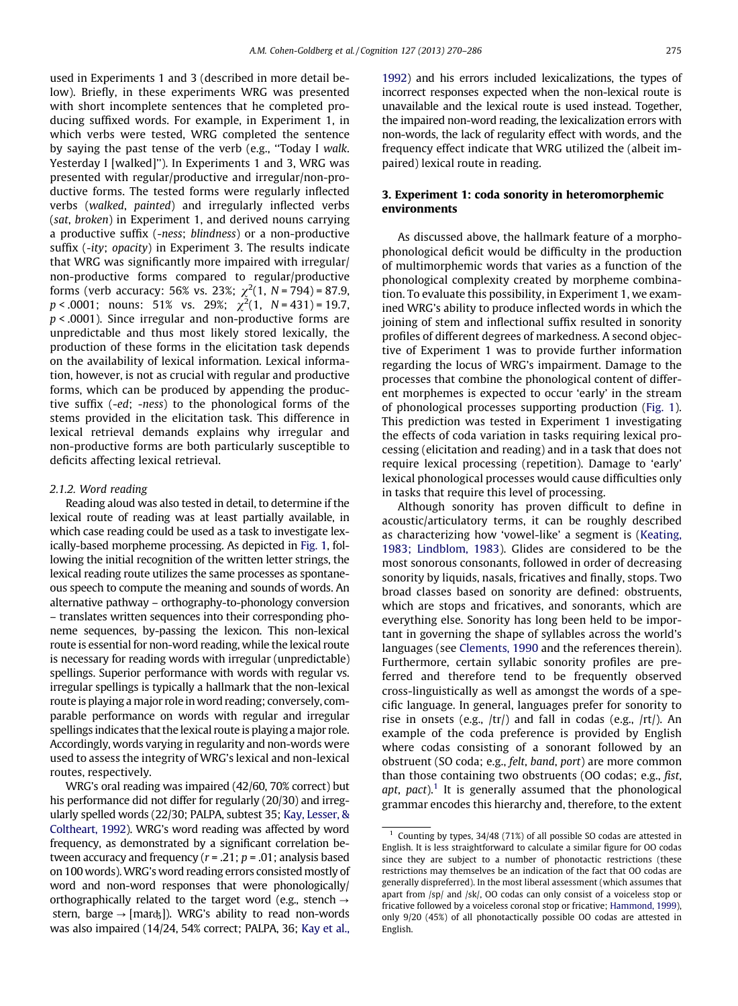used in Experiments 1 and 3 (described in more detail below). Briefly, in these experiments WRG was presented with short incomplete sentences that he completed producing suffixed words. For example, in Experiment 1, in which verbs were tested, WRG completed the sentence by saying the past tense of the verb (e.g., ''Today I walk. Yesterday I [walked]''). In Experiments 1 and 3, WRG was presented with regular/productive and irregular/non-productive forms. The tested forms were regularly inflected verbs (walked, painted) and irregularly inflected verbs (sat, broken) in Experiment 1, and derived nouns carrying a productive suffix (-ness; blindness) or a non-productive suffix (-ity; *opacity*) in Experiment 3. The results indicate that WRG was significantly more impaired with irregular/ non-productive forms compared to regular/productive forms (verb accuracy: 56% vs. 23%;  $\chi^2(1, N = 794) = 87.9$ ,  $p < .0001$ ; nouns: 51% vs. 29%;  $\chi^2(1, N = 431) = 19.7$ ,  $p < .0001$ ). Since irregular and non-productive forms are unpredictable and thus most likely stored lexically, the production of these forms in the elicitation task depends on the availability of lexical information. Lexical information, however, is not as crucial with regular and productive forms, which can be produced by appending the productive suffix (-ed; -ness) to the phonological forms of the stems provided in the elicitation task. This difference in lexical retrieval demands explains why irregular and non-productive forms are both particularly susceptible to deficits affecting lexical retrieval.

# 2.1.2. Word reading

Reading aloud was also tested in detail, to determine if the lexical route of reading was at least partially available, in which case reading could be used as a task to investigate lexically-based morpheme processing. As depicted in [Fig. 1](#page-2-0), following the initial recognition of the written letter strings, the lexical reading route utilizes the same processes as spontaneous speech to compute the meaning and sounds of words. An alternative pathway – orthography-to-phonology conversion – translates written sequences into their corresponding phoneme sequences, by-passing the lexicon. This non-lexical route is essential for non-word reading, while the lexical route is necessary for reading words with irregular (unpredictable) spellings. Superior performance with words with regular vs. irregular spellings is typically a hallmark that the non-lexical route is playing amajor role in word reading; conversely, comparable performance on words with regular and irregular spellings indicates that the lexical route is playing amajor role. Accordingly, words varying in regularity and non-words were used to assess the integrity of WRG's lexical and non-lexical routes, respectively.

WRG's oral reading was impaired (42/60, 70% correct) but his performance did not differ for regularly (20/30) and irregularly spelled words (22/30; PALPA, subtest 35; [Kay, Lesser, &](#page-15-0) [Coltheart, 1992](#page-15-0)). WRG's word reading was affected by word frequency, as demonstrated by a significant correlation between accuracy and frequency  $(r = .21; p = .01;$  analysis based on 100 words).WRG's word reading errors consisted mostly of word and non-word responses that were phonologically/ orthographically related to the target word (e.g., stench  $\rightarrow$ stern, barge  $\rightarrow$  [marck]). WRG's ability to read non-words was also impaired (14/24, 54% correct; PALPA, 36; [Kay et al.,](#page-15-0)

[1992](#page-15-0)) and his errors included lexicalizations, the types of incorrect responses expected when the non-lexical route is unavailable and the lexical route is used instead. Together, the impaired non-word reading, the lexicalization errors with non-words, the lack of regularity effect with words, and the frequency effect indicate that WRG utilized the (albeit impaired) lexical route in reading.

# 3. Experiment 1: coda sonority in heteromorphemic environments

As discussed above, the hallmark feature of a morphophonological deficit would be difficulty in the production of multimorphemic words that varies as a function of the phonological complexity created by morpheme combination. To evaluate this possibility, in Experiment 1, we examined WRG's ability to produce inflected words in which the joining of stem and inflectional suffix resulted in sonority profiles of different degrees of markedness. A second objective of Experiment 1 was to provide further information regarding the locus of WRG's impairment. Damage to the processes that combine the phonological content of different morphemes is expected to occur 'early' in the stream of phonological processes supporting production ([Fig. 1](#page-2-0)). This prediction was tested in Experiment 1 investigating the effects of coda variation in tasks requiring lexical processing (elicitation and reading) and in a task that does not require lexical processing (repetition). Damage to 'early' lexical phonological processes would cause difficulties only in tasks that require this level of processing.

Although sonority has proven difficult to define in acoustic/articulatory terms, it can be roughly described as characterizing how 'vowel-like' a segment is ([Keating,](#page-15-0) [1983; Lindblom, 1983\)](#page-15-0). Glides are considered to be the most sonorous consonants, followed in order of decreasing sonority by liquids, nasals, fricatives and finally, stops. Two broad classes based on sonority are defined: obstruents, which are stops and fricatives, and sonorants, which are everything else. Sonority has long been held to be important in governing the shape of syllables across the world's languages (see [Clements, 1990](#page-15-0) and the references therein). Furthermore, certain syllabic sonority profiles are preferred and therefore tend to be frequently observed cross-linguistically as well as amongst the words of a specific language. In general, languages prefer for sonority to rise in onsets (e.g., /tr/) and fall in codas (e.g., /rt/). An example of the coda preference is provided by English where codas consisting of a sonorant followed by an obstruent (SO coda; e.g., felt, band, port) are more common than those containing two obstruents (OO codas; e.g., fist, apt, pact).<sup>1</sup> It is generally assumed that the phonological grammar encodes this hierarchy and, therefore, to the extent

 $1$  Counting by types, 34/48 (71%) of all possible SO codas are attested in English. It is less straightforward to calculate a similar figure for OO codas since they are subject to a number of phonotactic restrictions (these restrictions may themselves be an indication of the fact that OO codas are generally dispreferred). In the most liberal assessment (which assumes that apart from /sp/ and /sk/, OO codas can only consist of a voiceless stop or fricative followed by a voiceless coronal stop or fricative; [Hammond, 1999](#page-15-0)), only 9/20 (45%) of all phonotactically possible OO codas are attested in English.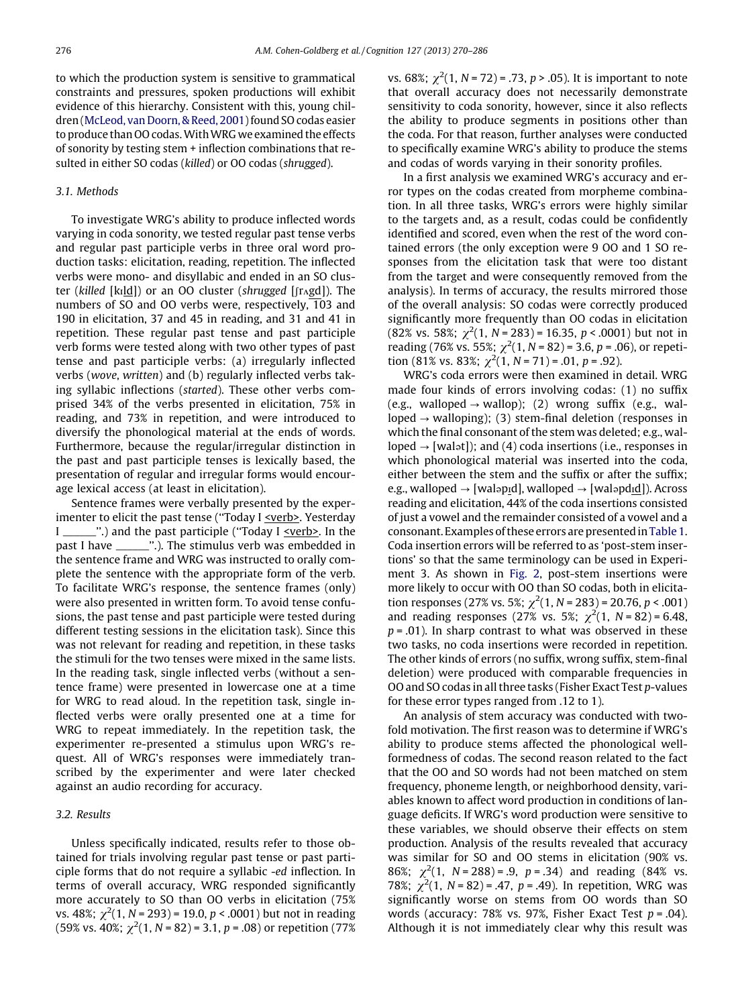to which the production system is sensitive to grammatical constraints and pressures, spoken productions will exhibit evidence of this hierarchy. Consistent with this, young children [\(McLeod, van Doorn, & Reed, 2001\)](#page-15-0) found SO codas easier to produce than OO codas. With WRG we examined the effects of sonority by testing stem + inflection combinations that resulted in either SO codas (killed) or OO codas (shrugged).

# 3.1. Methods

To investigate WRG's ability to produce inflected words varying in coda sonority, we tested regular past tense verbs and regular past participle verbs in three oral word production tasks: elicitation, reading, repetition. The inflected verbs were mono- and disyllabic and ended in an SO cluster (killed [kild]) or an OO cluster (shrugged [ $\lceil \text{rad} \rceil$ ). The numbers of SO and OO verbs were, respectively, 103 and 190 in elicitation, 37 and 45 in reading, and 31 and 41 in repetition. These regular past tense and past participle verb forms were tested along with two other types of past tense and past participle verbs: (a) irregularly inflected verbs (wove, written) and (b) regularly inflected verbs taking syllabic inflections (started). These other verbs comprised 34% of the verbs presented in elicitation, 75% in reading, and 73% in repetition, and were introduced to diversify the phonological material at the ends of words. Furthermore, because the regular/irregular distinction in the past and past participle tenses is lexically based, the presentation of regular and irregular forms would encourage lexical access (at least in elicitation).

Sentence frames were verbally presented by the experimenter to elicit the past tense ("Today I <verb>. Yesterday I \_\_\_\_\_\_".) and the past participle ("Today I <u><verb></u>. In the past I have \_\_\_\_\_\_''.). The stimulus verb was embedded in the sentence frame and WRG was instructed to orally complete the sentence with the appropriate form of the verb. To facilitate WRG's response, the sentence frames (only) were also presented in written form. To avoid tense confusions, the past tense and past participle were tested during different testing sessions in the elicitation task). Since this was not relevant for reading and repetition, in these tasks the stimuli for the two tenses were mixed in the same lists. In the reading task, single inflected verbs (without a sentence frame) were presented in lowercase one at a time for WRG to read aloud. In the repetition task, single inflected verbs were orally presented one at a time for WRG to repeat immediately. In the repetition task, the experimenter re-presented a stimulus upon WRG's request. All of WRG's responses were immediately transcribed by the experimenter and were later checked against an audio recording for accuracy.

# 3.2. Results

Unless specifically indicated, results refer to those obtained for trials involving regular past tense or past participle forms that do not require a syllabic -ed inflection. In terms of overall accuracy, WRG responded significantly more accurately to SO than OO verbs in elicitation (75% vs. 48%;  $\chi^2(1, N = 293) = 19.0, p < .0001$ ) but not in reading (59% vs. 40%;  $\chi^2(1, N = 82) = 3.1, p = .08$ ) or repetition (77%)

vs. 68%;  $\chi^2(1, N = 72) = .73$ ,  $p > .05$ ). It is important to note that overall accuracy does not necessarily demonstrate sensitivity to coda sonority, however, since it also reflects the ability to produce segments in positions other than the coda. For that reason, further analyses were conducted to specifically examine WRG's ability to produce the stems and codas of words varying in their sonority profiles.

In a first analysis we examined WRG's accuracy and error types on the codas created from morpheme combination. In all three tasks, WRG's errors were highly similar to the targets and, as a result, codas could be confidently identified and scored, even when the rest of the word contained errors (the only exception were 9 OO and 1 SO responses from the elicitation task that were too distant from the target and were consequently removed from the analysis). In terms of accuracy, the results mirrored those of the overall analysis: SO codas were correctly produced significantly more frequently than OO codas in elicitation  $(82\% \text{ vs. } 58\%; \chi^2(1, N = 283) = 16.35, p < .0001)$  but not in reading (76% vs. 55%;  $\chi^2(1, N = 82) = 3.6$ ,  $p = .06$ ), or repetition (81% vs. 83%;  $\chi^2(1, N = 71) = .01, p = .92$ ).

WRG's coda errors were then examined in detail. WRG made four kinds of errors involving codas: (1) no suffix (e.g., walloped  $\rightarrow$  wallop); (2) wrong suffix (e.g., walloped  $\rightarrow$  walloping); (3) stem-final deletion (responses in which the final consonant of the stem was deleted; e.g., walloped  $\rightarrow$  [walst]); and (4) coda insertions (i.e., responses in which phonological material was inserted into the coda, either between the stem and the suffix or after the suffix; e.g., walloped  $\rightarrow$  [wal $pId$ ], walloped  $\rightarrow$  [wal $pId$ ]). Across reading and elicitation, 44% of the coda insertions consisted of just a vowel and the remainder consisted of a vowel and a consonant. Examples of these errors are presented in[Table 1](#page-7-0). Coda insertion errors will be referred to as 'post-stem insertions' so that the same terminology can be used in Experiment 3. As shown in [Fig. 2](#page-7-0), post-stem insertions were more likely to occur with OO than SO codas, both in elicitation responses (27% vs. 5%;  $\chi^2(1, N = 283) = 20.76$ ,  $p < .001$ ) and reading responses (27% vs. 5%;  $\chi^2(1, N = 82) = 6.48$ )  $p = .01$ ). In sharp contrast to what was observed in these two tasks, no coda insertions were recorded in repetition. The other kinds of errors (no suffix, wrong suffix, stem-final deletion) were produced with comparable frequencies in OO and SO codas in all three tasks (Fisher Exact Test p-values for these error types ranged from .12 to 1).

An analysis of stem accuracy was conducted with twofold motivation. The first reason was to determine if WRG's ability to produce stems affected the phonological wellformedness of codas. The second reason related to the fact that the OO and SO words had not been matched on stem frequency, phoneme length, or neighborhood density, variables known to affect word production in conditions of language deficits. If WRG's word production were sensitive to these variables, we should observe their effects on stem production. Analysis of the results revealed that accuracy was similar for SO and OO stems in elicitation (90% vs. 86%;  $\chi^2(1, N = 288) = .9, p = .34$  and reading (84% vs. 78%;  $\chi^2(1, N = 82) = .47$ ,  $p = .49$ ). In repetition, WRG was significantly worse on stems from OO words than SO words (accuracy: 78% vs. 97%, Fisher Exact Test  $p = .04$ ). Although it is not immediately clear why this result was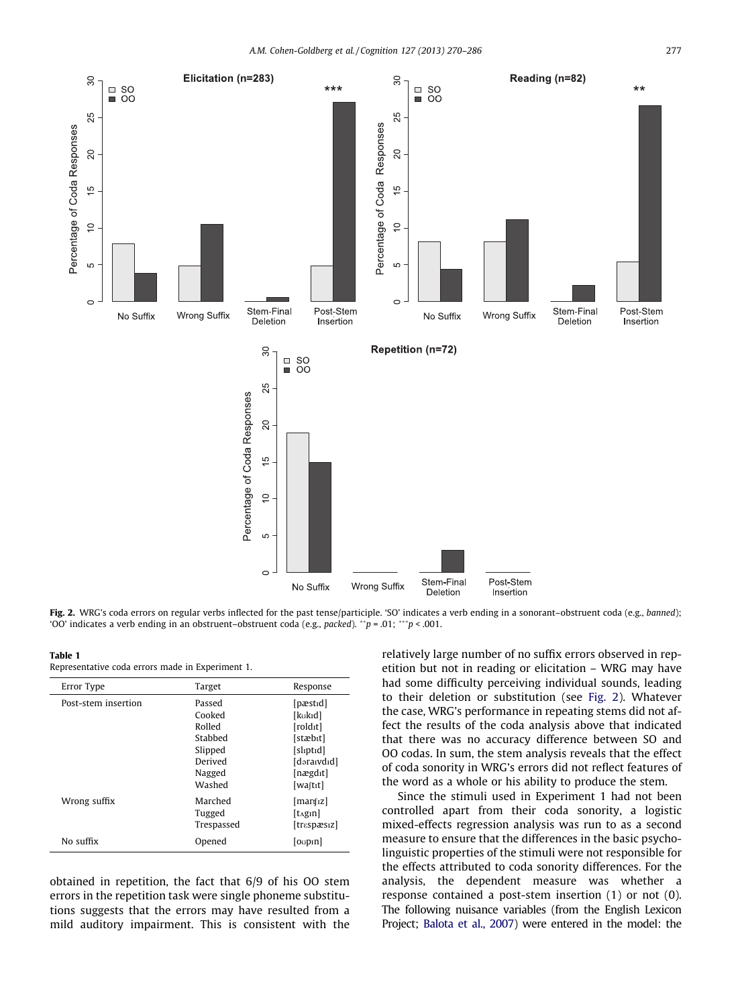<span id="page-7-0"></span>

Fig. 2. WRG's coda errors on regular verbs inflected for the past tense/participle. 'SO' indicates a verb ending in a sonorant-obstruent coda (e.g., banned); 'OO' indicates a verb ending in an obstruent–obstruent coda (e.g., packed).  $^{**}p = .01$ ;  $^{***}p < .001$ .

Table 1 Representative coda errors made in Experiment 1.

| Error Type                | Target                                                                | Response                                                                             |
|---------------------------|-----------------------------------------------------------------------|--------------------------------------------------------------------------------------|
| Post-stem insertion       | Passed<br>Cooked<br>Rolled<br>Stabbed<br>Slipped<br>Derived<br>Nagged | [pæstɪd]<br>[kʊkɪd]<br>[roldɪt]<br>[stæbɪt]<br>[slɪptɪd]<br>[dəraɪvdɪd]<br>[nægdɪt]  |
| Wrong suffix<br>No suffix | Washed<br>Marched<br>Tugged<br>Trespassed<br>Opened                   | [waſtɪt]<br>[martfız]<br>[t <sub>A</sub> g <sub>II</sub> ]<br>[traspæsiz]<br>[ovpin] |

obtained in repetition, the fact that 6/9 of his OO stem errors in the repetition task were single phoneme substitutions suggests that the errors may have resulted from a mild auditory impairment. This is consistent with the

relatively large number of no suffix errors observed in repetition but not in reading or elicitation – WRG may have had some difficulty perceiving individual sounds, leading to their deletion or substitution (see Fig. 2). Whatever the case, WRG's performance in repeating stems did not affect the results of the coda analysis above that indicated that there was no accuracy difference between SO and OO codas. In sum, the stem analysis reveals that the effect of coda sonority in WRG's errors did not reflect features of the word as a whole or his ability to produce the stem.

Since the stimuli used in Experiment 1 had not been controlled apart from their coda sonority, a logistic mixed-effects regression analysis was run to as a second measure to ensure that the differences in the basic psycholinguistic properties of the stimuli were not responsible for the effects attributed to coda sonority differences. For the analysis, the dependent measure was whether a response contained a post-stem insertion (1) or not (0). The following nuisance variables (from the English Lexicon Project; [Balota et al., 2007](#page-14-0)) were entered in the model: the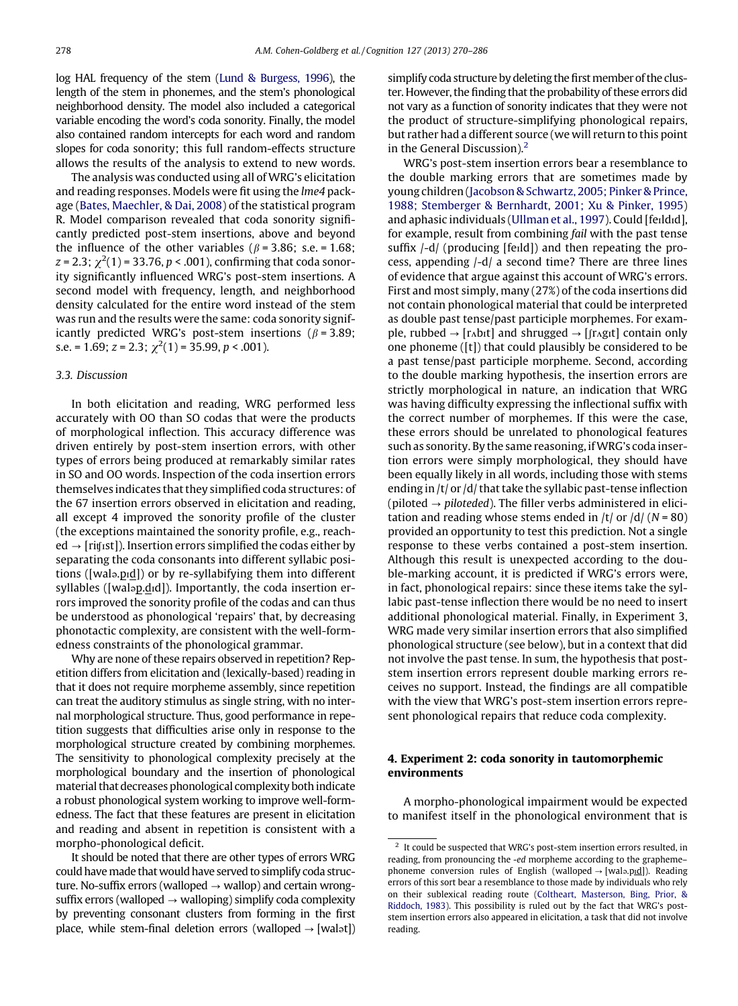log HAL frequency of the stem [\(Lund & Burgess, 1996\)](#page-15-0), the length of the stem in phonemes, and the stem's phonological neighborhood density. The model also included a categorical variable encoding the word's coda sonority. Finally, the model also contained random intercepts for each word and random slopes for coda sonority; this full random-effects structure allows the results of the analysis to extend to new words.

The analysis was conducted using all of WRG's elicitation and reading responses. Models were fit using the lme4 package ([Bates, Maechler, & Dai, 2008](#page-14-0)) of the statistical program R. Model comparison revealed that coda sonority significantly predicted post-stem insertions, above and beyond the influence of the other variables ( $\beta$  = 3.86; s.e. = 1.68; z = 2.3;  $\chi^2(1)$  = 33.76, p < .001), confirming that coda sonority significantly influenced WRG's post-stem insertions. A second model with frequency, length, and neighborhood density calculated for the entire word instead of the stem was run and the results were the same: coda sonority significantly predicted WRG's post-stem insertions ( $\beta$  = 3.89; s.e. = 1.69;  $z = 2.3$ ;  $\chi^2(1) = 35.99$ ,  $p < .001$ ).

# 3.3. Discussion

In both elicitation and reading, WRG performed less accurately with OO than SO codas that were the products of morphological inflection. This accuracy difference was driven entirely by post-stem insertion errors, with other types of errors being produced at remarkably similar rates in SO and OO words. Inspection of the coda insertion errors themselves indicates that they simplified coda structures: of the 67 insertion errors observed in elicitation and reading, all except 4 improved the sonority profile of the cluster (the exceptions maintained the sonority profile, e.g., reached  $\rightarrow$  [ri $\mathfrak{g}\mathfrak{\text{r}}$ st]). Insertion errors simplified the codas either by separating the coda consonants into different syllabic positions ([wala.pid]) or by re-syllabifying them into different syllables ([walap.did]). Importantly, the coda insertion errors improved the sonority profile of the codas and can thus be understood as phonological 'repairs' that, by decreasing phonotactic complexity, are consistent with the well-formedness constraints of the phonological grammar.

Why are none of these repairs observed in repetition? Repetition differs from elicitation and (lexically-based) reading in that it does not require morpheme assembly, since repetition can treat the auditory stimulus as single string, with no internal morphological structure. Thus, good performance in repetition suggests that difficulties arise only in response to the morphological structure created by combining morphemes. The sensitivity to phonological complexity precisely at the morphological boundary and the insertion of phonological material that decreases phonological complexity both indicate a robust phonological system working to improve well-formedness. The fact that these features are present in elicitation and reading and absent in repetition is consistent with a morpho-phonological deficit.

It should be noted that there are other types of errors WRG could have made that would have served to simplify coda structure. No-suffix errors (walloped  $\rightarrow$  wallop) and certain wrongsuffix errors (walloped  $\rightarrow$  walloping) simplify coda complexity by preventing consonant clusters from forming in the first place, while stem-final deletion errors (walloped  $\rightarrow$  [wal $\ge$ t]) simplify coda structure by deleting the first member of the cluster. However, the finding that the probability of these errors did not vary as a function of sonority indicates that they were not the product of structure-simplifying phonological repairs, but rather had a different source (we will return to this point in the General Discussion).2

WRG's post-stem insertion errors bear a resemblance to the double marking errors that are sometimes made by young children ([Jacobson & Schwartz, 2005; Pinker & Prince,](#page-15-0) [1988; Stemberger & Bernhardt, 2001; Xu & Pinker, 1995](#page-15-0)) and aphasic individuals ([Ullman et al., 1997](#page-16-0)). Could [feildid], for example, result from combining fail with the past tense suffix /-d/ (producing [feild]) and then repeating the process, appending /-d/ a second time? There are three lines of evidence that argue against this account of WRG's errors. First and most simply, many (27%) of the coda insertions did not contain phonological material that could be interpreted as double past tense/past participle morphemes. For example, rubbed  $\rightarrow$  [r^bit] and shrugged  $\rightarrow$  [fr^gIt] contain only one phoneme ([t]) that could plausibly be considered to be a past tense/past participle morpheme. Second, according to the double marking hypothesis, the insertion errors are strictly morphological in nature, an indication that WRG was having difficulty expressing the inflectional suffix with the correct number of morphemes. If this were the case, these errors should be unrelated to phonological features such as sonority. By the same reasoning, ifWRG's coda insertion errors were simply morphological, they should have been equally likely in all words, including those with stems ending in /t/ or /d/ that take the syllabic past-tense inflection (piloted  $\rightarrow$  piloteded). The filler verbs administered in elicitation and reading whose stems ended in  $|t|$  or  $|d|$  (N = 80) provided an opportunity to test this prediction. Not a single response to these verbs contained a post-stem insertion. Although this result is unexpected according to the double-marking account, it is predicted if WRG's errors were, in fact, phonological repairs: since these items take the syllabic past-tense inflection there would be no need to insert additional phonological material. Finally, in Experiment 3, WRG made very similar insertion errors that also simplified phonological structure (see below), but in a context that did not involve the past tense. In sum, the hypothesis that poststem insertion errors represent double marking errors receives no support. Instead, the findings are all compatible with the view that WRG's post-stem insertion errors represent phonological repairs that reduce coda complexity.

# 4. Experiment 2: coda sonority in tautomorphemic environments

A morpho-phonological impairment would be expected to manifest itself in the phonological environment that is

 $2$  It could be suspected that WRG's post-stem insertion errors resulted, in reading, from pronouncing the -ed morpheme according to the graphemephoneme conversion rules of English (walloped  $\rightarrow$  [wal $\circ$ .pld]). Reading errors of this sort bear a resemblance to those made by individuals who rely on their sublexical reading route ([Coltheart, Masterson, Bing, Prior, &](#page-15-0) [Riddoch, 1983\)](#page-15-0). This possibility is ruled out by the fact that WRG's poststem insertion errors also appeared in elicitation, a task that did not involve reading.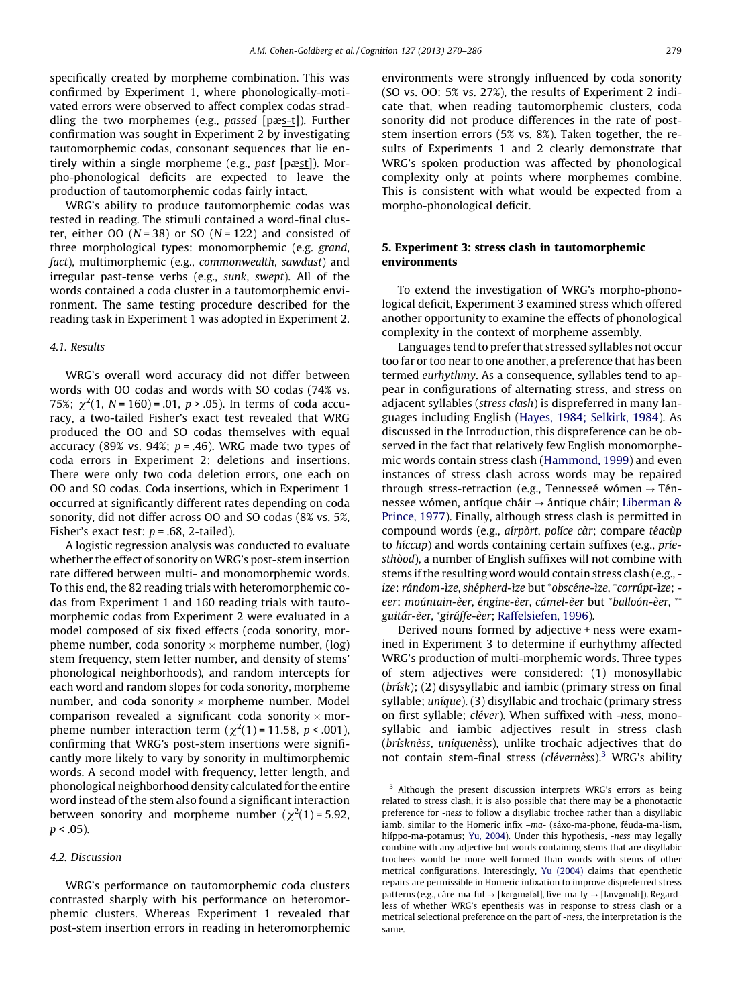specifically created by morpheme combination. This was confirmed by Experiment 1, where phonologically-motivated errors were observed to affect complex codas straddling the two morphemes (e.g., passed [pæs-t]). Further confirmation was sought in Experiment 2 by investigating tautomorphemic codas, consonant sequences that lie entirely within a single morpheme (e.g., past [pæst]). Morpho-phonological deficits are expected to leave the production of tautomorphemic codas fairly intact.

WRG's ability to produce tautomorphemic codas was tested in reading. The stimuli contained a word-final cluster, either OO  $(N = 38)$  or SO  $(N = 122)$  and consisted of three morphological types: monomorphemic (e.g. grand, fact), multimorphemic (e.g., commonwealth, sawdust) and irregular past-tense verbs (e.g., sunk, swept). All of the words contained a coda cluster in a tautomorphemic environment. The same testing procedure described for the reading task in Experiment 1 was adopted in Experiment 2.

# 4.1. Results

WRG's overall word accuracy did not differ between words with OO codas and words with SO codas (74% vs. 75%;  $\chi^2(1, N = 160) = .01$ ,  $p > .05$ ). In terms of coda accuracy, a two-tailed Fisher's exact test revealed that WRG produced the OO and SO codas themselves with equal accuracy (89% vs. 94%;  $p = .46$ ). WRG made two types of coda errors in Experiment 2: deletions and insertions. There were only two coda deletion errors, one each on OO and SO codas. Coda insertions, which in Experiment 1 occurred at significantly different rates depending on coda sonority, did not differ across OO and SO codas (8% vs. 5%, Fisher's exact test:  $p = .68$ , 2-tailed).

A logistic regression analysis was conducted to evaluate whether the effect of sonority on WRG's post-stem insertion rate differed between multi- and monomorphemic words. To this end, the 82 reading trials with heteromorphemic codas from Experiment 1 and 160 reading trials with tautomorphemic codas from Experiment 2 were evaluated in a model composed of six fixed effects (coda sonority, morpheme number, coda sonority  $\times$  morpheme number, (log) stem frequency, stem letter number, and density of stems' phonological neighborhoods), and random intercepts for each word and random slopes for coda sonority, morpheme number, and coda sonority  $\times$  morpheme number. Model comparison revealed a significant coda sonority  $\times$  morpheme number interaction term  $(\chi^2(1) = 11.58, p < .001)$ , confirming that WRG's post-stem insertions were significantly more likely to vary by sonority in multimorphemic words. A second model with frequency, letter length, and phonological neighborhood density calculated for the entire word instead of the stem also found a significant interaction between sonority and morpheme number  $(\chi^2(1) = 5.92)$ ,  $p < .05$ ).

# 4.2. Discussion

WRG's performance on tautomorphemic coda clusters contrasted sharply with his performance on heteromorphemic clusters. Whereas Experiment 1 revealed that post-stem insertion errors in reading in heteromorphemic environments were strongly influenced by coda sonority (SO vs. OO: 5% vs. 27%), the results of Experiment 2 indicate that, when reading tautomorphemic clusters, coda sonority did not produce differences in the rate of poststem insertion errors (5% vs. 8%). Taken together, the results of Experiments 1 and 2 clearly demonstrate that WRG's spoken production was affected by phonological complexity only at points where morphemes combine. This is consistent with what would be expected from a morpho-phonological deficit.

# 5. Experiment 3: stress clash in tautomorphemic environments

To extend the investigation of WRG's morpho-phonological deficit, Experiment 3 examined stress which offered another opportunity to examine the effects of phonological complexity in the context of morpheme assembly.

Languages tend to prefer that stressed syllables not occur too far or too near to one another, a preference that has been termed eurhythmy. As a consequence, syllables tend to appear in configurations of alternating stress, and stress on adjacent syllables (stress clash) is dispreferred in many languages including English [\(Hayes, 1984; Selkirk, 1984\)](#page-15-0). As discussed in the Introduction, this dispreference can be observed in the fact that relatively few English monomorphemic words contain stress clash [\(Hammond, 1999](#page-15-0)) and even instances of stress clash across words may be repaired through stress-retraction (e.g., Tennesseé wómen  $\rightarrow$  Ténnessee wómen, antíque cháir  $\rightarrow$  ántique cháir; [Liberman &](#page-15-0) [Prince, 1977\)](#page-15-0). Finally, although stress clash is permitted in compound words (e.g., aírpòrt, políce càr; compare téacùp to híccup) and words containing certain suffixes (e.g., príesthòod), a number of English suffixes will not combine with stems if the resulting word would contain stress clash (e.g., ize: rándom-ìze, shépherd-ìze but \*obscéne-ìze, \*corrúpt-ìze; eer: moúntain-èer, éngine-èer, cámel-èer but \*balloón-èer, \* - guitár-èer, \*giráffe-èer; [Raffelsiefen, 1996](#page-15-0)).

Derived nouns formed by adjective + ness were examined in Experiment 3 to determine if eurhythmy affected WRG's production of multi-morphemic words. Three types of stem adjectives were considered: (1) monosyllabic (brísk); (2) disysyllabic and iambic (primary stress on final syllable; uníque). (3) disyllabic and trochaic (primary stress on first syllable; cléver). When suffixed with -ness, monosyllabic and iambic adjectives result in stress clash (brísknèss, uníquenèss), unlike trochaic adjectives that do not contain stem-final stress (clévernèss).<sup>3</sup> WRG's ability

<sup>&</sup>lt;sup>3</sup> Although the present discussion interprets WRG's errors as being related to stress clash, it is also possible that there may be a phonotactic preference for -ness to follow a disyllabic trochee rather than a disyllabic iamb, similar to the Homeric infix –ma- (sáxo-ma-phone, féuda-ma-lism, hiíppo-ma-potamus; [Yu, 2004\)](#page-16-0). Under this hypothesis, -ness may legally combine with any adjective but words containing stems that are disyllabic trochees would be more well-formed than words with stems of other metrical configurations. Interestingly, [Yu \(2004\)](#page-16-0) claims that epenthetic repairs are permissible in Homeric infixation to improve dispreferred stress patterns (e.g., cáre-ma-ful  $\rightarrow$  [kɛrəməfəl], líve-ma-ly  $\rightarrow$  [laɪvəməli]). Regardless of whether WRG's epenthesis was in response to stress clash or a metrical selectional preference on the part of -ness, the interpretation is the same.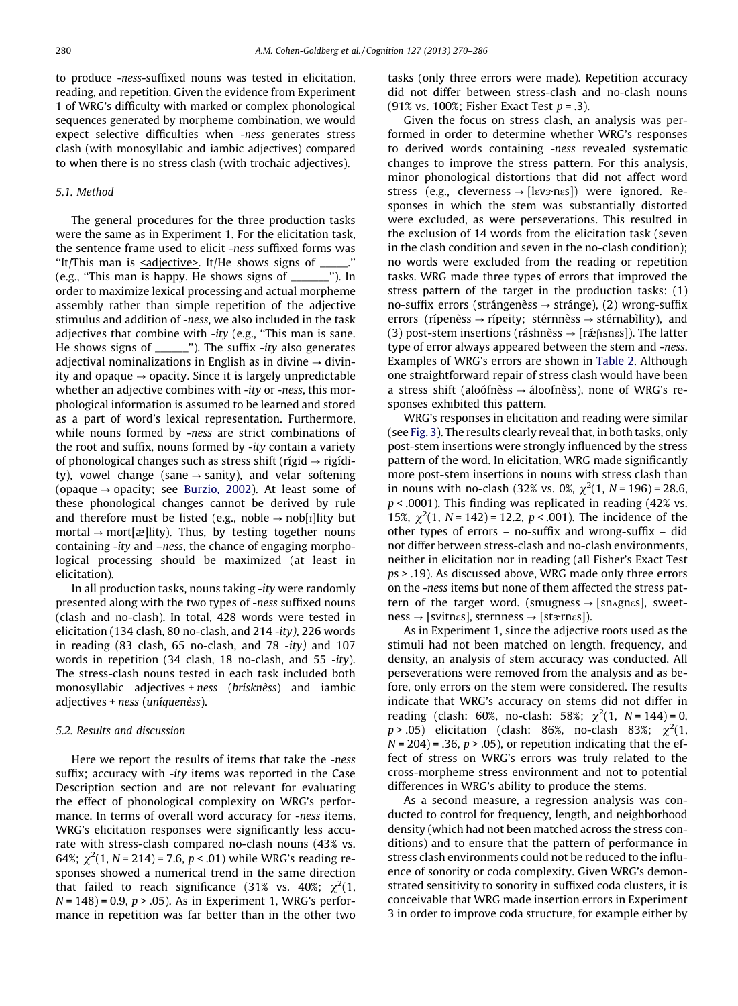to produce -ness-suffixed nouns was tested in elicitation, reading, and repetition. Given the evidence from Experiment 1 of WRG's difficulty with marked or complex phonological sequences generated by morpheme combination, we would expect selective difficulties when -ness generates stress clash (with monosyllabic and iambic adjectives) compared to when there is no stress clash (with trochaic adjectives).

# 5.1. Method

The general procedures for the three production tasks were the same as in Experiment 1. For the elicitation task, the sentence frame used to elicit -ness suffixed forms was "It/This man is  $\leq$  adjective>. It/He shows signs of \_\_\_\_\_." (e.g., ''This man is happy. He shows signs of \_\_\_\_\_\_\_''). In order to maximize lexical processing and actual morpheme assembly rather than simple repetition of the adjective stimulus and addition of -ness, we also included in the task adjectives that combine with -ity (e.g., ''This man is sane. He shows signs of \_\_\_\_\_\_"). The suffix -ity also generates adjectival nominalizations in English as in divine  $\rightarrow$  divinity and opaque  $\rightarrow$  opacity. Since it is largely unpredictable whether an adjective combines with -ity or -ness, this morphological information is assumed to be learned and stored as a part of word's lexical representation. Furthermore, while nouns formed by -ness are strict combinations of the root and suffix, nouns formed by -ity contain a variety of phonological changes such as stress shift (rígid  $\rightarrow$  rigídity), vowel change (sane  $\rightarrow$  sanity), and velar softening (opaque  $\rightarrow$  opacity; see [Burzio, 2002\)](#page-15-0). At least some of these phonological changes cannot be derived by rule and therefore must be listed (e.g., noble  $\rightarrow$  nob[1]lity but mortal  $\rightarrow$  mort[æ]lity). Thus, by testing together nouns containing -ity and –ness, the chance of engaging morphological processing should be maximized (at least in elicitation).

In all production tasks, nouns taking -ity were randomly presented along with the two types of -ness suffixed nouns (clash and no-clash). In total, 428 words were tested in elicitation (134 clash, 80 no-clash, and 214 -ity), 226 words in reading  $(83 \text{ clash}, 65 \text{ no-class},$  and  $78 \text{ -ity})$  and  $107$ words in repetition (34 clash, 18 no-clash, and 55 -ity). The stress-clash nouns tested in each task included both monosyllabic adjectives + ness (brísknèss) and iambic adjectives + ness (uníquenèss).

#### 5.2. Results and discussion

Here we report the results of items that take the -ness suffix; accuracy with -ity items was reported in the Case Description section and are not relevant for evaluating the effect of phonological complexity on WRG's performance. In terms of overall word accuracy for -ness items, WRG's elicitation responses were significantly less accurate with stress-clash compared no-clash nouns (43% vs. 64%;  $\chi^2(1, N = 214) = 7.6$ ,  $p < .01$ ) while WRG's reading responses showed a numerical trend in the same direction that failed to reach significance (31% vs. 40%;  $\chi^2(1,$  $N = 148$ ) = 0.9,  $p > .05$ ). As in Experiment 1, WRG's performance in repetition was far better than in the other two tasks (only three errors were made). Repetition accuracy did not differ between stress-clash and no-clash nouns (91% vs. 100%; Fisher Exact Test  $p = .3$ ).

Given the focus on stress clash, an analysis was performed in order to determine whether WRG's responses to derived words containing -ness revealed systematic changes to improve the stress pattern. For this analysis, minor phonological distortions that did not affect word stress (e.g., cleverness  $\rightarrow$  [lav3-nas]) were ignored. Responses in which the stem was substantially distorted were excluded, as were perseverations. This resulted in the exclusion of 14 words from the elicitation task (seven in the clash condition and seven in the no-clash condition); no words were excluded from the reading or repetition tasks. WRG made three types of errors that improved the stress pattern of the target in the production tasks: (1) no-suffix errors (strángenèss  $\rightarrow$  stránge), (2) wrong-suffix errors (rípenèss  $\rightarrow$  rípeity; stérnnèss  $\rightarrow$  stérnabìlity), and (3) post-stem insertions (ráshnèss  $\rightarrow$  [ræ [isnes]). The latter type of error always appeared between the stem and -ness. Examples of WRG's errors are shown in [Table 2.](#page-11-0) Although one straightforward repair of stress clash would have been a stress shift (aloófnèss  $\rightarrow$  áloofnèss), none of WRG's responses exhibited this pattern.

WRG's responses in elicitation and reading were similar (see [Fig. 3](#page-11-0)). The results clearly reveal that, in both tasks, only post-stem insertions were strongly influenced by the stress pattern of the word. In elicitation, WRG made significantly more post-stem insertions in nouns with stress clash than in nouns with no-clash (32% vs. 0%,  $\chi^2(1, N = 196) = 28.6$ )  $p < .0001$ ). This finding was replicated in reading (42% vs. 15%,  $\chi^2(1, N = 142) = 12.2$ ,  $p < .001$ ). The incidence of the other types of errors – no-suffix and wrong-suffix – did not differ between stress-clash and no-clash environments, neither in elicitation nor in reading (all Fisher's Exact Test ps > .19). As discussed above, WRG made only three errors on the -ness items but none of them affected the stress pattern of the target word. (smugness  $\rightarrow$  [sn<sub>Agnes</sub>], sweet $ness \rightarrow [svitnes]$ , sternness  $\rightarrow [sts\text{-}rnes]$ ).

As in Experiment 1, since the adjective roots used as the stimuli had not been matched on length, frequency, and density, an analysis of stem accuracy was conducted. All perseverations were removed from the analysis and as before, only errors on the stem were considered. The results indicate that WRG's accuracy on stems did not differ in reading (clash: 60%, no-clash: 58%;  $\chi^2(1, N = 144) = 0$ ,  $p > .05$ ) elicitation (clash: 86%, no-clash 83%;  $\chi^2(1, 1)$  $N = 204$  = .36,  $p > .05$ ), or repetition indicating that the effect of stress on WRG's errors was truly related to the cross-morpheme stress environment and not to potential differences in WRG's ability to produce the stems.

As a second measure, a regression analysis was conducted to control for frequency, length, and neighborhood density (which had not been matched across the stress conditions) and to ensure that the pattern of performance in stress clash environments could not be reduced to the influence of sonority or coda complexity. Given WRG's demonstrated sensitivity to sonority in suffixed coda clusters, it is conceivable that WRG made insertion errors in Experiment 3 in order to improve coda structure, for example either by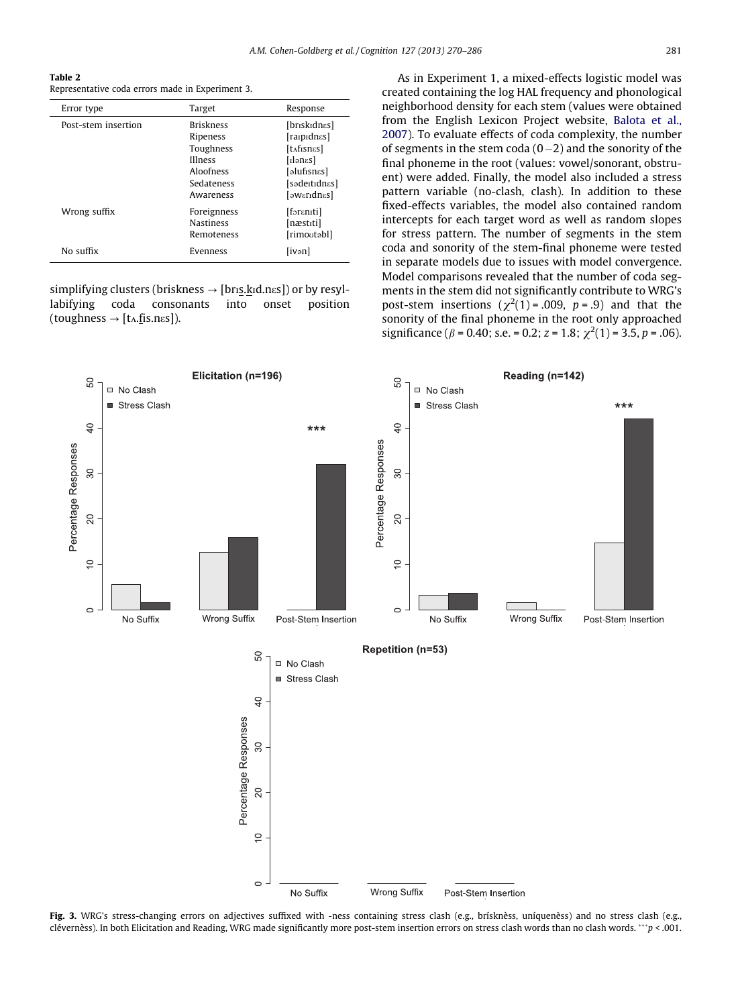<span id="page-11-0"></span>Table 2 Representative coda errors made in Experiment 3.

| Error type          | Target                                                                                       | Response                                                                                             |
|---------------------|----------------------------------------------------------------------------------------------|------------------------------------------------------------------------------------------------------|
| Post-stem insertion | <b>Briskness</b><br>Ripeness<br>Toughness<br>Illness<br>Aloofness<br>Sedateness<br>Awareness | [briskidnes]<br>[raɪpɪdnɛs]<br>[tʌfɪsnɛs]<br>[1]ənɛs]<br>[əlufısnas]<br>[sədeɪtɪdnɛs]<br>[əwɛrɪdnɛs] |
| Wrong suffix        | Foreignness<br><b>Nastiness</b><br>Remoteness                                                | [foranti]<br>[næstɪti]<br>[rimoʊtəbl]                                                                |
| No suffix           | Evenness                                                                                     | [ivən]                                                                                               |

simplifying clusters (briskness  $\rightarrow$  [bris.kid.nes]) or by resyllabifying coda consonants into onset position  $(toughness \rightarrow [t_A, fis, n \epsilon s])$ .

As in Experiment 1, a mixed-effects logistic model was created containing the log HAL frequency and phonological neighborhood density for each stem (values were obtained from the English Lexicon Project website, [Balota et al.,](#page-14-0) [2007\)](#page-14-0). To evaluate effects of coda complexity, the number of segments in the stem coda  $(0-2)$  and the sonority of the final phoneme in the root (values: vowel/sonorant, obstruent) were added. Finally, the model also included a stress pattern variable (no-clash, clash). In addition to these fixed-effects variables, the model also contained random intercepts for each target word as well as random slopes for stress pattern. The number of segments in the stem coda and sonority of the stem-final phoneme were tested in separate models due to issues with model convergence. Model comparisons revealed that the number of coda segments in the stem did not significantly contribute to WRG's post-stem insertions  $(\chi^2(1) = .009, p = .9)$  and that the sonority of the final phoneme in the root only approached significance ( $\beta$  = 0.40; s.e. = 0.2; z = 1.8;  $\chi^2(1)$  = 3.5, p = .06).



Fig. 3. WRG's stress-changing errors on adjectives suffixed with -ness containing stress clash (e.g., brísknèss, uníquenèss) and no stress clash (e.g., clévernèss). In both Elicitation and Reading, WRG made significantly more post-stem insertion errors on stress clash words than no clash words. \*\*\*p < .001.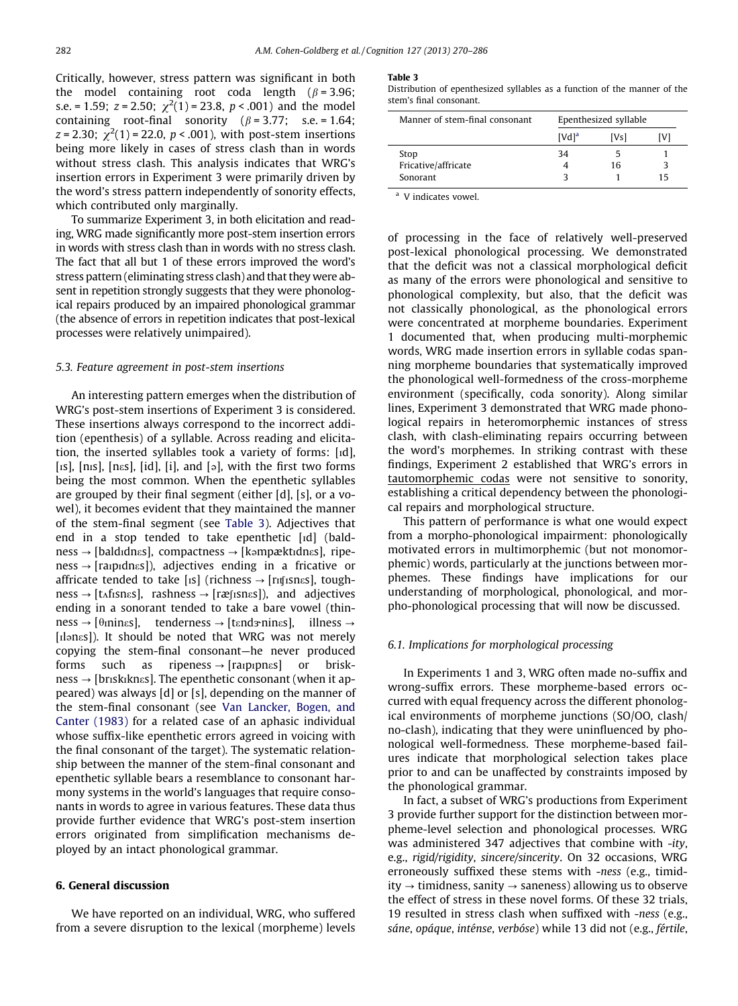Critically, however, stress pattern was significant in both the model containing root coda length ( $\beta$  = 3.96; s.e. = 1.59;  $z = 2.50$ ;  $\chi^2(1) = 23.8$ ,  $p < .001$ ) and the model containing root-final sonority  $(\beta = 3.77; s.e. = 1.64;$  $z = 2.30$ ;  $\chi^2(1) = 22.0$ ,  $p < .001$ ), with post-stem insertions being more likely in cases of stress clash than in words without stress clash. This analysis indicates that WRG's insertion errors in Experiment 3 were primarily driven by the word's stress pattern independently of sonority effects, which contributed only marginally.

To summarize Experiment 3, in both elicitation and reading, WRG made significantly more post-stem insertion errors in words with stress clash than in words with no stress clash. The fact that all but 1 of these errors improved the word's stress pattern (eliminating stress clash) and that they were absent in repetition strongly suggests that they were phonological repairs produced by an impaired phonological grammar (the absence of errors in repetition indicates that post-lexical processes were relatively unimpaired).

#### 5.3. Feature agreement in post-stem insertions

An interesting pattern emerges when the distribution of WRG's post-stem insertions of Experiment 3 is considered. These insertions always correspond to the incorrect addition (epenthesis) of a syllable. Across reading and elicitation, the inserted syllables took a variety of forms: [Id], [ $IS$ ],  $[nIS]$ ,  $[nES]$ ,  $iid$ ],  $[i]$ , and  $[s]$ , with the first two forms being the most common. When the epenthetic syllables are grouped by their final segment (either [d], [s], or a vowel), it becomes evident that they maintained the manner of the stem-final segment (see Table 3). Adjectives that end in a stop tended to take epenthetic [Id] (bald $ness \rightarrow [baldtdnes]$ , compactness  $\rightarrow [kempækttdnes]$ , ripe $ness \rightarrow [rarpidnes]$ , adjectives ending in a fricative or affricate tended to take [1s] (richness  $\rightarrow$  [r1f1snes], tough $ness \rightarrow [t_{\text{A}}\text{f}isnes]$ , rashness  $\rightarrow [r_{\text{A}}\text{f}isnes]$ ), and adjectives ending in a sonorant tended to take a bare vowel (thin $ness \rightarrow [\theta_{\text{inimes}}], \text{tenders} \rightarrow [\text{tends} \cdot \text{inimes}], \text{ illness} \rightarrow$ [Ilanes]). It should be noted that WRG was not merely copying the stem-final consonant—he never produced forms such as ripeness  $\rightarrow$  [raipipnes] or brisk $ness \rightarrow [briskxknes]$ . The epenthetic consonant (when it appeared) was always [d] or [s], depending on the manner of the stem-final consonant (see [Van Lancker, Bogen, and](#page-16-0) [Canter \(1983\)](#page-16-0) for a related case of an aphasic individual whose suffix-like epenthetic errors agreed in voicing with the final consonant of the target). The systematic relationship between the manner of the stem-final consonant and epenthetic syllable bears a resemblance to consonant harmony systems in the world's languages that require consonants in words to agree in various features. These data thus provide further evidence that WRG's post-stem insertion errors originated from simplification mechanisms deployed by an intact phonological grammar.

# 6. General discussion

We have reported on an individual, WRG, who suffered from a severe disruption to the lexical (morpheme) levels

#### Table 3

Distribution of epenthesized syllables as a function of the manner of the stem's final consonant.

| Manner of stem-final consonant | Epenthesized syllable |      |    |
|--------------------------------|-----------------------|------|----|
|                                | [Vd] <sup>a</sup>     | [Vs] |    |
| Stop                           | 34                    |      |    |
| Fricative/affricate            |                       | 16   |    |
| Sonorant                       |                       |      | 15 |

<sup>a</sup> V indicates vowel.

of processing in the face of relatively well-preserved post-lexical phonological processing. We demonstrated that the deficit was not a classical morphological deficit as many of the errors were phonological and sensitive to phonological complexity, but also, that the deficit was not classically phonological, as the phonological errors were concentrated at morpheme boundaries. Experiment 1 documented that, when producing multi-morphemic words, WRG made insertion errors in syllable codas spanning morpheme boundaries that systematically improved the phonological well-formedness of the cross-morpheme environment (specifically, coda sonority). Along similar lines, Experiment 3 demonstrated that WRG made phonological repairs in heteromorphemic instances of stress clash, with clash-eliminating repairs occurring between the word's morphemes. In striking contrast with these findings, Experiment 2 established that WRG's errors in tautomorphemic codas were not sensitive to sonority, establishing a critical dependency between the phonological repairs and morphological structure.

This pattern of performance is what one would expect from a morpho-phonological impairment: phonologically motivated errors in multimorphemic (but not monomorphemic) words, particularly at the junctions between morphemes. These findings have implications for our understanding of morphological, phonological, and morpho-phonological processing that will now be discussed.

#### 6.1. Implications for morphological processing

In Experiments 1 and 3, WRG often made no-suffix and wrong-suffix errors. These morpheme-based errors occurred with equal frequency across the different phonological environments of morpheme junctions (SO/OO, clash/ no-clash), indicating that they were uninfluenced by phonological well-formedness. These morpheme-based failures indicate that morphological selection takes place prior to and can be unaffected by constraints imposed by the phonological grammar.

In fact, a subset of WRG's productions from Experiment 3 provide further support for the distinction between morpheme-level selection and phonological processes. WRG was administered 347 adjectives that combine with -ity, e.g., rigid/rigidity, sincere/sincerity. On 32 occasions, WRG erroneously suffixed these stems with -ness (e.g., timidity  $\rightarrow$  timidness, sanity  $\rightarrow$  saneness) allowing us to observe the effect of stress in these novel forms. Of these 32 trials, 19 resulted in stress clash when suffixed with -ness (e.g., sáne, opáque, inténse, verbóse) while 13 did not (e.g., fértile,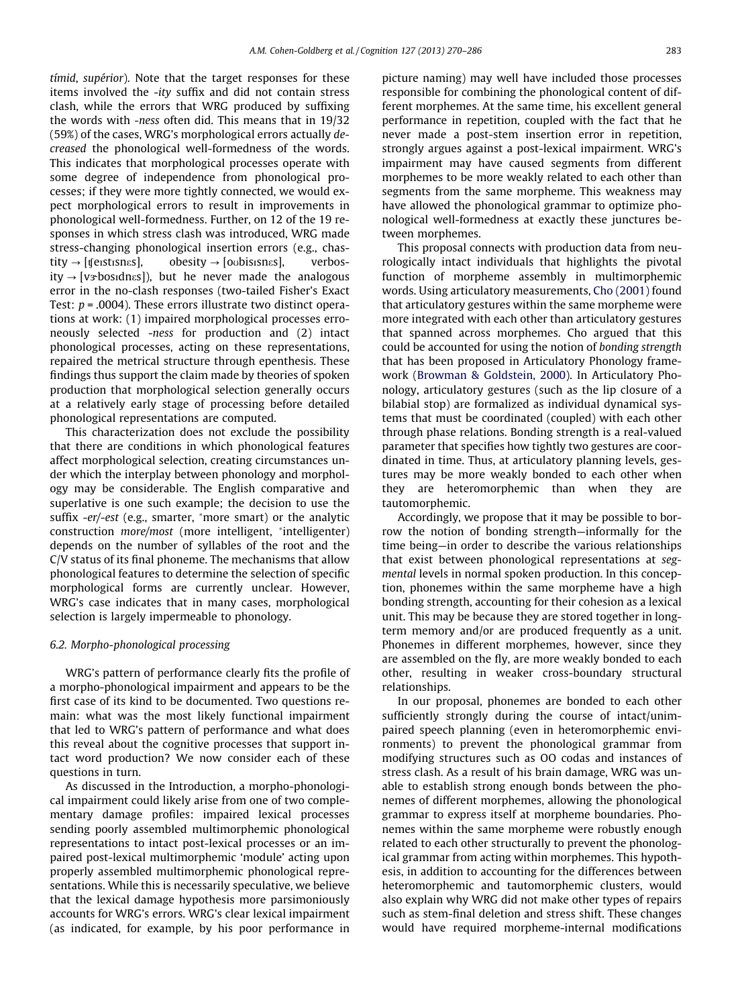tímid, supérior). Note that the target responses for these items involved the -ity suffix and did not contain stress clash, while the errors that WRG produced by suffixing the words with -ness often did. This means that in 19/32 (59%) of the cases, WRG's morphological errors actually decreased the phonological well-formedness of the words. This indicates that morphological processes operate with some degree of independence from phonological processes; if they were more tightly connected, we would expect morphological errors to result in improvements in phonological well-formedness. Further, on 12 of the 19 responses in which stress clash was introduced, WRG made stress-changing phonological insertion errors (e.g., chastity  $\rightarrow$  [tenstisnes].  $obesity \rightarrow [owbisisnes],$  verbosity  $\rightarrow$  [v3·bosidnes]), but he never made the analogous error in the no-clash responses (two-tailed Fisher's Exact Test:  $p = .0004$ ). These errors illustrate two distinct operations at work: (1) impaired morphological processes erroneously selected -ness for production and (2) intact phonological processes, acting on these representations, repaired the metrical structure through epenthesis. These findings thus support the claim made by theories of spoken production that morphological selection generally occurs at a relatively early stage of processing before detailed phonological representations are computed.

This characterization does not exclude the possibility that there are conditions in which phonological features affect morphological selection, creating circumstances under which the interplay between phonology and morphology may be considerable. The English comparative and superlative is one such example; the decision to use the suffix -er/-est (e.g., smarter, \*more smart) or the analytic construction more/most (more intelligent, \*intelligenter) depends on the number of syllables of the root and the C/V status of its final phoneme. The mechanisms that allow phonological features to determine the selection of specific morphological forms are currently unclear. However, WRG's case indicates that in many cases, morphological selection is largely impermeable to phonology.

# 6.2. Morpho-phonological processing

WRG's pattern of performance clearly fits the profile of a morpho-phonological impairment and appears to be the first case of its kind to be documented. Two questions remain: what was the most likely functional impairment that led to WRG's pattern of performance and what does this reveal about the cognitive processes that support intact word production? We now consider each of these questions in turn.

As discussed in the Introduction, a morpho-phonological impairment could likely arise from one of two complementary damage profiles: impaired lexical processes sending poorly assembled multimorphemic phonological representations to intact post-lexical processes or an impaired post-lexical multimorphemic 'module' acting upon properly assembled multimorphemic phonological representations. While this is necessarily speculative, we believe that the lexical damage hypothesis more parsimoniously accounts for WRG's errors. WRG's clear lexical impairment (as indicated, for example, by his poor performance in

picture naming) may well have included those processes responsible for combining the phonological content of different morphemes. At the same time, his excellent general performance in repetition, coupled with the fact that he never made a post-stem insertion error in repetition, strongly argues against a post-lexical impairment. WRG's impairment may have caused segments from different morphemes to be more weakly related to each other than segments from the same morpheme. This weakness may have allowed the phonological grammar to optimize phonological well-formedness at exactly these junctures between morphemes.

This proposal connects with production data from neurologically intact individuals that highlights the pivotal function of morpheme assembly in multimorphemic words. Using articulatory measurements, [Cho \(2001\)](#page-15-0) found that articulatory gestures within the same morpheme were more integrated with each other than articulatory gestures that spanned across morphemes. Cho argued that this could be accounted for using the notion of bonding strength that has been proposed in Articulatory Phonology framework ([Browman & Goldstein, 2000](#page-15-0)). In Articulatory Phonology, articulatory gestures (such as the lip closure of a bilabial stop) are formalized as individual dynamical systems that must be coordinated (coupled) with each other through phase relations. Bonding strength is a real-valued parameter that specifies how tightly two gestures are coordinated in time. Thus, at articulatory planning levels, gestures may be more weakly bonded to each other when they are heteromorphemic than when they are tautomorphemic.

Accordingly, we propose that it may be possible to borrow the notion of bonding strength—informally for the time being—in order to describe the various relationships that exist between phonological representations at segmental levels in normal spoken production. In this conception, phonemes within the same morpheme have a high bonding strength, accounting for their cohesion as a lexical unit. This may be because they are stored together in longterm memory and/or are produced frequently as a unit. Phonemes in different morphemes, however, since they are assembled on the fly, are more weakly bonded to each other, resulting in weaker cross-boundary structural relationships.

In our proposal, phonemes are bonded to each other sufficiently strongly during the course of intact/unimpaired speech planning (even in heteromorphemic environments) to prevent the phonological grammar from modifying structures such as OO codas and instances of stress clash. As a result of his brain damage, WRG was unable to establish strong enough bonds between the phonemes of different morphemes, allowing the phonological grammar to express itself at morpheme boundaries. Phonemes within the same morpheme were robustly enough related to each other structurally to prevent the phonological grammar from acting within morphemes. This hypothesis, in addition to accounting for the differences between heteromorphemic and tautomorphemic clusters, would also explain why WRG did not make other types of repairs such as stem-final deletion and stress shift. These changes would have required morpheme-internal modifications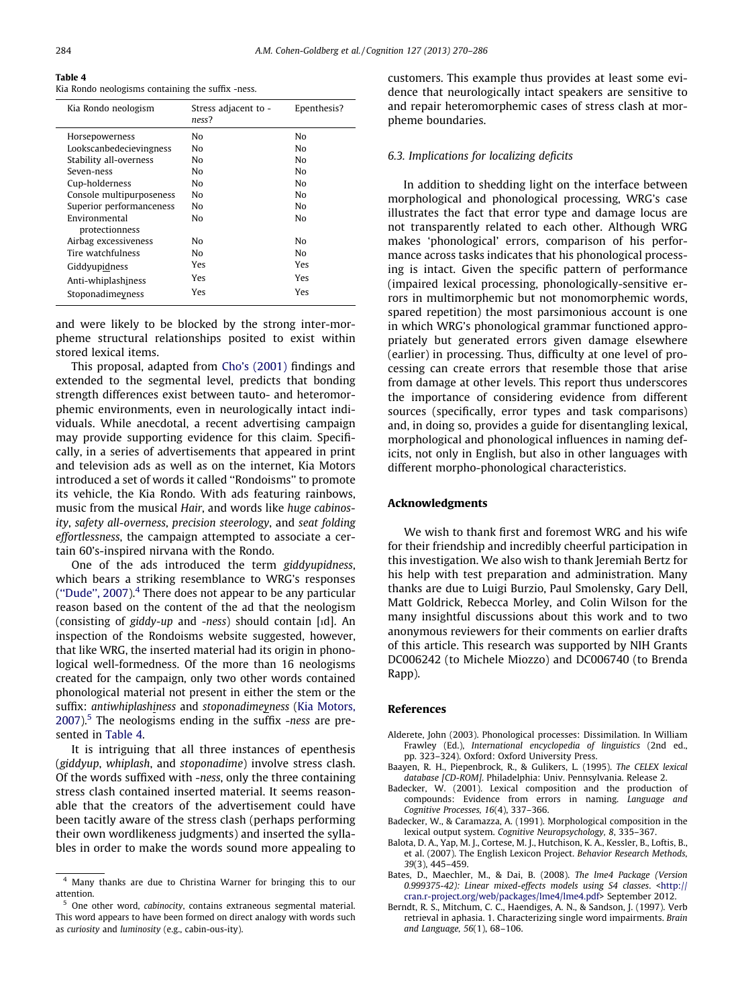# <span id="page-14-0"></span>Table 4

Kia Rondo neologisms containing the suffix -ness.

| Kia Rondo neologism             | Stress adjacent to -<br>ness? | Epenthesis? |
|---------------------------------|-------------------------------|-------------|
| Horsepowerness                  | No                            | No          |
| Lookscanbedecievingness         | No                            | No          |
| Stability all-overness          | No                            | No          |
| Seven-ness                      | No                            | No          |
| Cup-holderness                  | No                            | No          |
| Console multipurposeness        | No                            | No          |
| Superior performanceness        | No                            | No          |
| Environmental<br>protectionness | No                            | No          |
| Airbag excessiveness            | No                            | No          |
| Tire watchfulness               | No                            | No          |
| Giddyupidness                   | Yes                           | Yes         |
| Anti-whiplashiness              | Yes                           | Yes         |
| Stoponadimeyness                | Yes                           | Yes         |

and were likely to be blocked by the strong inter-morpheme structural relationships posited to exist within stored lexical items.

This proposal, adapted from [Cho's \(2001\)](#page-15-0) findings and extended to the segmental level, predicts that bonding strength differences exist between tauto- and heteromorphemic environments, even in neurologically intact individuals. While anecdotal, a recent advertising campaign may provide supporting evidence for this claim. Specifically, in a series of advertisements that appeared in print and television ads as well as on the internet, Kia Motors introduced a set of words it called ''Rondoisms'' to promote its vehicle, the Kia Rondo. With ads featuring rainbows, music from the musical Hair, and words like huge cabinosity, safety all-overness, precision steerology, and seat folding effortlessness, the campaign attempted to associate a certain 60's-inspired nirvana with the Rondo.

One of the ads introduced the term giddyupidness, which bears a striking resemblance to WRG's responses ("Dude", 2007). $4$  There does not appear to be any particular reason based on the content of the ad that the neologism (consisting of giddy-up and -ness) should contain [Id]. An inspection of the Rondoisms website suggested, however, that like WRG, the inserted material had its origin in phonological well-formedness. Of the more than 16 neologisms created for the campaign, only two other words contained phonological material not present in either the stem or the suffix: antiwhiplashiness and stoponadimeyness ([Kia Motors,](#page-15-0)  $2007$ ).<sup>5</sup> The neologisms ending in the suffix -ness are presented in Table 4.

It is intriguing that all three instances of epenthesis (giddyup, whiplash, and stoponadime) involve stress clash. Of the words suffixed with -ness, only the three containing stress clash contained inserted material. It seems reasonable that the creators of the advertisement could have been tacitly aware of the stress clash (perhaps performing their own wordlikeness judgments) and inserted the syllables in order to make the words sound more appealing to

customers. This example thus provides at least some evidence that neurologically intact speakers are sensitive to and repair heteromorphemic cases of stress clash at morpheme boundaries.

# 6.3. Implications for localizing deficits

In addition to shedding light on the interface between morphological and phonological processing, WRG's case illustrates the fact that error type and damage locus are not transparently related to each other. Although WRG makes 'phonological' errors, comparison of his performance across tasks indicates that his phonological processing is intact. Given the specific pattern of performance (impaired lexical processing, phonologically-sensitive errors in multimorphemic but not monomorphemic words, spared repetition) the most parsimonious account is one in which WRG's phonological grammar functioned appropriately but generated errors given damage elsewhere (earlier) in processing. Thus, difficulty at one level of processing can create errors that resemble those that arise from damage at other levels. This report thus underscores the importance of considering evidence from different sources (specifically, error types and task comparisons) and, in doing so, provides a guide for disentangling lexical, morphological and phonological influences in naming deficits, not only in English, but also in other languages with different morpho-phonological characteristics.

# Acknowledgments

We wish to thank first and foremost WRG and his wife for their friendship and incredibly cheerful participation in this investigation. We also wish to thank Jeremiah Bertz for his help with test preparation and administration. Many thanks are due to Luigi Burzio, Paul Smolensky, Gary Dell, Matt Goldrick, Rebecca Morley, and Colin Wilson for the many insightful discussions about this work and to two anonymous reviewers for their comments on earlier drafts of this article. This research was supported by NIH Grants DC006242 (to Michele Miozzo) and DC006740 (to Brenda Rapp).

#### References

- Alderete, John (2003). Phonological processes: Dissimilation. In William Frawley (Ed.), International encyclopedia of linguistics (2nd ed., pp. 323–324). Oxford: Oxford University Press.
- Baayen, R. H., Piepenbrock, R., & Gulikers, L. (1995). The CELEX lexical database [CD-ROM]. Philadelphia: Univ. Pennsylvania. Release 2.
- Badecker, W. (2001). Lexical composition and the production of compounds: Evidence from errors in naming. Language and Cognitive Processes, 16(4), 337–366.
- Badecker, W., & Caramazza, A. (1991). Morphological composition in the lexical output system. Cognitive Neuropsychology, 8, 335–367.
- Balota, D. A., Yap, M. J., Cortese, M. J., Hutchison, K. A., Kessler, B., Loftis, B., et al. (2007). The English Lexicon Project. Behavior Research Methods, 39(3), 445–459.
- Bates, D., Maechler, M., & Dai, B. (2008). The lme4 Package (Version 0.999375-42): Linear mixed-effects models using S4 classes. <[http://](http://cran.r-project.org/web/packages/lme4/lme4.pdf) [cran.r-project.org/web/packages/lme4/lme4.pdf](http://cran.r-project.org/web/packages/lme4/lme4.pdf)> September 2012.
- Berndt, R. S., Mitchum, C. C., Haendiges, A. N., & Sandson, J. (1997). Verb retrieval in aphasia. 1. Characterizing single word impairments. Brain and Language, 56(1), 68–106.

<sup>4</sup> Many thanks are due to Christina Warner for bringing this to our attention.

<sup>5</sup> One other word, cabinocity, contains extraneous segmental material. This word appears to have been formed on direct analogy with words such as curiosity and luminosity (e.g., cabin-ous-ity).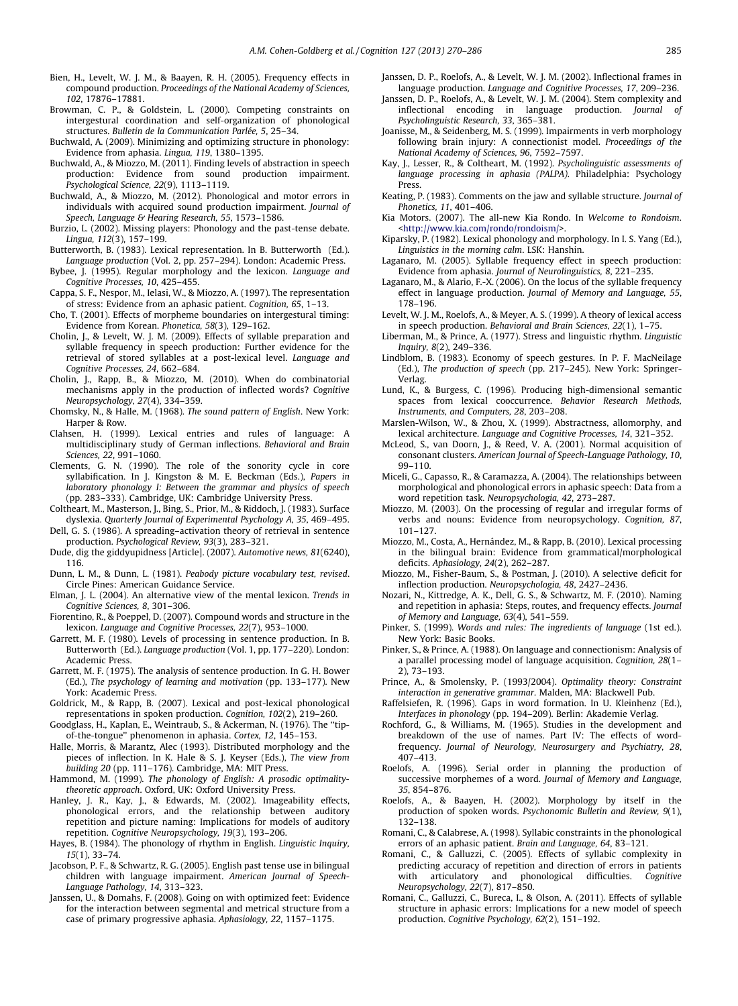- <span id="page-15-0"></span>Bien, H., Levelt, W. J. M., & Baayen, R. H. (2005). Frequency effects in compound production. Proceedings of the National Academy of Sciences, 102, 17876–17881.
- Browman, C. P., & Goldstein, L. (2000). Competing constraints on intergestural coordination and self-organization of phonological structures. Bulletin de la Communication Parlée, 5, 25–34.
- Buchwald, A. (2009). Minimizing and optimizing structure in phonology: Evidence from aphasia. Lingua, 119, 1380–1395.
- Buchwald, A., & Miozzo, M. (2011). Finding levels of abstraction in speech production: Evidence from sound production impairment. Psychological Science, 22(9), 1113–1119.
- Buchwald, A., & Miozzo, M. (2012). Phonological and motor errors in individuals with acquired sound production impairment. Journal of Speech, Language & Hearing Research, 55, 1573–1586.
- Burzio, L. (2002). Missing players: Phonology and the past-tense debate. Lingua, 112(3), 157–199.
- Butterworth, B. (1983). Lexical representation. In B. Butterworth (Ed.). Language production (Vol. 2, pp. 257–294). London: Academic Press.
- Bybee, J. (1995). Regular morphology and the lexicon. Language and Cognitive Processes, 10, 425–455.
- Cappa, S. F., Nespor, M., Ielasi, W., & Miozzo, A. (1997). The representation of stress: Evidence from an aphasic patient. Cognition, 65, 1–13.
- Cho, T. (2001). Effects of morpheme boundaries on intergestural timing: Evidence from Korean. Phonetica, 58(3), 129–162.
- Cholin, J., & Levelt, W. J. M. (2009). Effects of syllable preparation and syllable frequency in speech production: Further evidence for the retrieval of stored syllables at a post-lexical level. Language and Cognitive Processes, 24, 662–684.
- Cholin, J., Rapp, B., & Miozzo, M. (2010). When do combinatorial mechanisms apply in the production of inflected words? Cognitive Neuropsychology, 27(4), 334–359.
- Chomsky, N., & Halle, M. (1968). The sound pattern of English. New York: Harper & Row.
- Clahsen, H. (1999). Lexical entries and rules of language: A multidisciplinary study of German inflections. Behavioral and Brain Sciences, 22, 991–1060.
- Clements, G. N. (1990). The role of the sonority cycle in core syllabification. In J. Kingston & M. E. Beckman (Eds.), Papers in laboratory phonology I: Between the grammar and physics of speech (pp. 283–333). Cambridge, UK: Cambridge University Press.
- Coltheart, M., Masterson, J., Bing, S., Prior, M., & Riddoch, J. (1983). Surface dyslexia. Quarterly Journal of Experimental Psychology A, 35, 469–495.
- Dell, G. S. (1986). A spreading–activation theory of retrieval in sentence production. Psychological Review, 93(3), 283–321.
- Dude, dig the giddyupidness [Article]. (2007). Automotive news, 81(6240), 116.
- Dunn, L. M., & Dunn, L. (1981). Peabody picture vocabulary test, revised. Circle Pines: American Guidance Service.
- Elman, J. L. (2004). An alternative view of the mental lexicon. Trends in Cognitive Sciences, 8, 301–306.
- Fiorentino, R., & Poeppel, D. (2007). Compound words and structure in the lexicon. Language and Cognitive Processes, 22(7), 953–1000.
- Garrett, M. F. (1980). Levels of processing in sentence production. In B. Butterworth (Ed.). Language production (Vol. 1, pp. 177–220). London: Academic Press.
- Garrett, M. F. (1975). The analysis of sentence production. In G. H. Bower (Ed.), The psychology of learning and motivation (pp. 133–177). New York: Academic Press.
- Goldrick, M., & Rapp, B. (2007). Lexical and post-lexical phonological representations in spoken production. Cognition, 102(2), 219–260.
- Goodglass, H., Kaplan, E., Weintraub, S., & Ackerman, N. (1976). The ''tipof-the-tongue'' phenomenon in aphasia. Cortex, 12, 145–153.
- Halle, Morris, & Marantz, Alec (1993). Distributed morphology and the pieces of inflection. In K. Hale & S. J. Keyser (Eds.), The view from building 20 (pp. 111–176). Cambridge, MA: MIT Press.
- Hammond, M. (1999). The phonology of English: A prosodic optimalitytheoretic approach. Oxford, UK: Oxford University Press.
- Hanley, J. R., Kay, J., & Edwards, M. (2002). Imageability effects, phonological errors, and the relationship between auditory repetition and picture naming: Implications for models of auditory repetition. Cognitive Neuropsychology, 19(3), 193–206.
- Hayes, B. (1984). The phonology of rhythm in English. Linguistic Inquiry, 15(1), 33–74.
- Jacobson, P. F., & Schwartz, R. G. (2005). English past tense use in bilingual children with language impairment. American Journal of Speech-Language Pathology, 14, 313–323.
- Janssen, U., & Domahs, F. (2008). Going on with optimized feet: Evidence for the interaction between segmental and metrical structure from a case of primary progressive aphasia. Aphasiology, 22, 1157–1175.
- Janssen, D. P., Roelofs, A., & Levelt, W. J. M. (2002). Inflectional frames in language production. Language and Cognitive Processes, 17, 209–236.
- Janssen, D. P., Roelofs, A., & Levelt, W. J. M. (2004). Stem complexity and inflectional encoding in language production. Journal Psycholinguistic Research, 33, 365–381.
- Joanisse, M., & Seidenberg, M. S. (1999). Impairments in verb morphology following brain injury: A connectionist model. Proceedings of the National Academy of Sciences, 96, 7592–7597.
- Kay, J., Lesser, R., & Coltheart, M. (1992). Psycholinguistic assessments of language processing in aphasia (PALPA). Philadelphia: Psychology Press.
- Keating, P. (1983). Comments on the jaw and syllable structure. Journal of Phonetics, 11, 401–406.
- Kia Motors. (2007). The all-new Kia Rondo. In Welcome to Rondoism. <[http://www.kia.com/rondo/rondoism/>](http://www.kia.com/rondo/rondoism/).
- Kiparsky, P. (1982). Lexical phonology and morphology. In I. S. Yang (Ed.), Linguistics in the morning calm. LSK: Hanshin.
- Laganaro, M. (2005). Syllable frequency effect in speech production: Evidence from aphasia. Journal of Neurolinguistics, 8, 221–235.
- Laganaro, M., & Alario, F.-X. (2006). On the locus of the syllable frequency effect in language production. Journal of Memory and Language, 55, 178–196.
- Levelt, W. J. M., Roelofs, A., & Meyer, A. S. (1999). A theory of lexical access in speech production. Behavioral and Brain Sciences, 22(1), 1–75.
- Liberman, M., & Prince, A. (1977). Stress and linguistic rhythm. Linguistic Inquiry, 8(2), 249–336.
- Lindblom, B. (1983). Economy of speech gestures. In P. F. MacNeilage (Ed.), The production of speech (pp. 217–245). New York: Springer-Verlag.
- Lund, K., & Burgess, C. (1996). Producing high-dimensional semantic spaces from lexical cooccurrence. Behavior Research Methods, Instruments, and Computers, 28, 203–208.
- Marslen-Wilson, W., & Zhou, X. (1999). Abstractness, allomorphy, and lexical architecture. Language and Cognitive Processes, 14, 321–352.
- McLeod, S., van Doorn, J., & Reed, V. A. (2001). Normal acquisition of consonant clusters. American Journal of Speech-Language Pathology, 10, 99–110.
- Miceli, G., Capasso, R., & Caramazza, A. (2004). The relationships between morphological and phonological errors in aphasic speech: Data from a word repetition task. Neuropsychologia, 42, 273–287.
- Miozzo, M. (2003). On the processing of regular and irregular forms of verbs and nouns: Evidence from neuropsychology. Cognition, 87, 101–127.
- Miozzo, M., Costa, A., Hernández, M., & Rapp, B. (2010). Lexical processing in the bilingual brain: Evidence from grammatical/morphological deficits. Aphasiology, 24(2), 262–287.
- Miozzo, M., Fisher-Baum, S., & Postman, J. (2010). A selective deficit for inflection production. Neuropsychologia, 48, 2427–2436.
- Nozari, N., Kittredge, A. K., Dell, G. S., & Schwartz, M. F. (2010). Naming and repetition in aphasia: Steps, routes, and frequency effects. Journal of Memory and Language, 63(4), 541–559.
- Pinker, S. (1999). Words and rules: The ingredients of language (1st ed.). New York: Basic Books.
- Pinker, S., & Prince, A. (1988). On language and connectionism: Analysis of a parallel processing model of language acquisition. Cognition, 28(1– 2), 73–193.
- Prince, A., & Smolensky, P. (1993/2004). Optimality theory: Constraint interaction in generative grammar. Malden, MA: Blackwell Pub.
- Raffelsiefen, R. (1996). Gaps in word formation. In U. Kleinhenz (Ed.), Interfaces in phonology (pp. 194–209). Berlin: Akademie Verlag.
- Rochford, G., & Williams, M. (1965). Studies in the development and breakdown of the use of names. Part IV: The effects of wordfrequency. Journal of Neurology, Neurosurgery and Psychiatry, 28, 407–413.
- Roelofs, A. (1996). Serial order in planning the production of successive morphemes of a word. Journal of Memory and Language, 35, 854–876.
- Roelofs, A., & Baayen, H. (2002). Morphology by itself in the production of spoken words. Psychonomic Bulletin and Review, 9(1), 132–138.
- Romani, C., & Calabrese, A. (1998). Syllabic constraints in the phonological errors of an aphasic patient. Brain and Language, 64, 83–121.
- Romani, C., & Galluzzi, C. (2005). Effects of syllabic complexity in predicting accuracy of repetition and direction of errors in patients<br>with articulatory and phonological difficulties. Cognitive and phonological difficulties. Cognitive Neuropsychology, 22(7), 817–850.
- Romani, C., Galluzzi, C., Bureca, I., & Olson, A. (2011). Effects of syllable structure in aphasic errors: Implications for a new model of speech production. Cognitive Psychology, 62(2), 151–192.